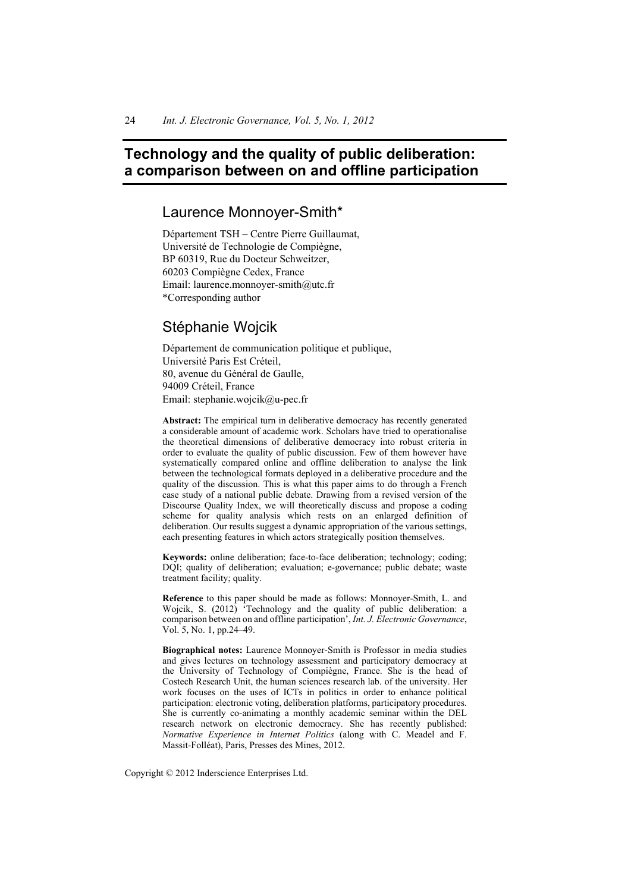# **Technology and the quality of public deliberation: a comparison between on and offline participation**

## Laurence Monnoyer-Smith\*

Département TSH – Centre Pierre Guillaumat, Université de Technologie de Compiègne, BP 60319, Rue du Docteur Schweitzer, 60203 Compiègne Cedex, France Email: laurence.monnoyer-smith@utc.fr \*Corresponding author

## Stéphanie Wojcik

Département de communication politique et publique, Université Paris Est Créteil, 80, avenue du Général de Gaulle, 94009 Créteil, France Email: stephanie.wojcik@u-pec.fr

**Abstract:** The empirical turn in deliberative democracy has recently generated a considerable amount of academic work. Scholars have tried to operationalise the theoretical dimensions of deliberative democracy into robust criteria in order to evaluate the quality of public discussion. Few of them however have systematically compared online and offline deliberation to analyse the link between the technological formats deployed in a deliberative procedure and the quality of the discussion. This is what this paper aims to do through a French case study of a national public debate. Drawing from a revised version of the Discourse Quality Index, we will theoretically discuss and propose a coding scheme for quality analysis which rests on an enlarged definition of deliberation. Our results suggest a dynamic appropriation of the various settings, each presenting features in which actors strategically position themselves.

**Keywords:** online deliberation; face-to-face deliberation; technology; coding; DQI; quality of deliberation; evaluation; e-governance; public debate; waste treatment facility; quality.

**Reference** to this paper should be made as follows: Monnoyer-Smith, L. and Wojcik, S. (2012) 'Technology and the quality of public deliberation: a comparison between on and offline participation', *Int. J. Electronic Governance*, Vol. 5, No. 1, pp.24–49.

**Biographical notes:** Laurence Monnoyer-Smith is Professor in media studies and gives lectures on technology assessment and participatory democracy at the University of Technology of Compiègne, France. She is the head of Costech Research Unit, the human sciences research lab. of the university. Her work focuses on the uses of ICTs in politics in order to enhance political participation: electronic voting, deliberation platforms, participatory procedures. She is currently co-animating a monthly academic seminar within the DEL research network on electronic democracy. She has recently published: *Normative Experience in Internet Politics* (along with C. Meadel and F. Massit-Folléat), Paris, Presses des Mines, 2012.

Copyright © 2012 Inderscience Enterprises Ltd.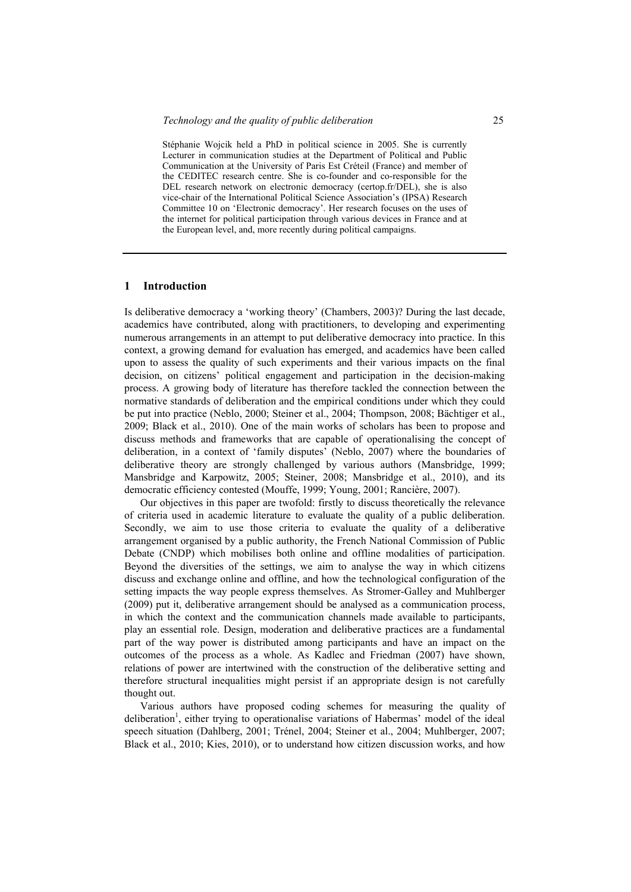Stéphanie Wojcik held a PhD in political science in 2005. She is currently Lecturer in communication studies at the Department of Political and Public Communication at the University of Paris Est Créteil (France) and member of the CEDITEC research centre. She is co-founder and co-responsible for the DEL research network on electronic democracy (certop.fr/DEL), she is also vice-chair of the International Political Science Association's (IPSA) Research Committee 10 on 'Electronic democracy'. Her research focuses on the uses of the internet for political participation through various devices in France and at the European level, and, more recently during political campaigns.

## **1 Introduction**

Is deliberative democracy a 'working theory' (Chambers, 2003)? During the last decade, academics have contributed, along with practitioners, to developing and experimenting numerous arrangements in an attempt to put deliberative democracy into practice. In this context, a growing demand for evaluation has emerged, and academics have been called upon to assess the quality of such experiments and their various impacts on the final decision, on citizens' political engagement and participation in the decision-making process. A growing body of literature has therefore tackled the connection between the normative standards of deliberation and the empirical conditions under which they could be put into practice (Neblo, 2000; Steiner et al., 2004; Thompson, 2008; Bächtiger et al., 2009; Black et al., 2010). One of the main works of scholars has been to propose and discuss methods and frameworks that are capable of operationalising the concept of deliberation, in a context of 'family disputes' (Neblo, 2007) where the boundaries of deliberative theory are strongly challenged by various authors (Mansbridge, 1999; Mansbridge and Karpowitz, 2005; Steiner, 2008; Mansbridge et al., 2010), and its democratic efficiency contested (Mouffe, 1999; Young, 2001; Rancière, 2007).

Our objectives in this paper are twofold: firstly to discuss theoretically the relevance of criteria used in academic literature to evaluate the quality of a public deliberation. Secondly, we aim to use those criteria to evaluate the quality of a deliberative arrangement organised by a public authority, the French National Commission of Public Debate (CNDP) which mobilises both online and offline modalities of participation. Beyond the diversities of the settings, we aim to analyse the way in which citizens discuss and exchange online and offline, and how the technological configuration of the setting impacts the way people express themselves. As Stromer-Galley and Muhlberger (2009) put it, deliberative arrangement should be analysed as a communication process, in which the context and the communication channels made available to participants, play an essential role. Design, moderation and deliberative practices are a fundamental part of the way power is distributed among participants and have an impact on the outcomes of the process as a whole. As Kadlec and Friedman (2007) have shown, relations of power are intertwined with the construction of the deliberative setting and therefore structural inequalities might persist if an appropriate design is not carefully thought out.

Various authors have proposed coding schemes for measuring the quality of deliberation<sup>1</sup>, either trying to operationalise variations of Habermas' model of the ideal speech situation (Dahlberg, 2001; Trénel, 2004; Steiner et al., 2004; Muhlberger, 2007; Black et al., 2010; Kies, 2010), or to understand how citizen discussion works, and how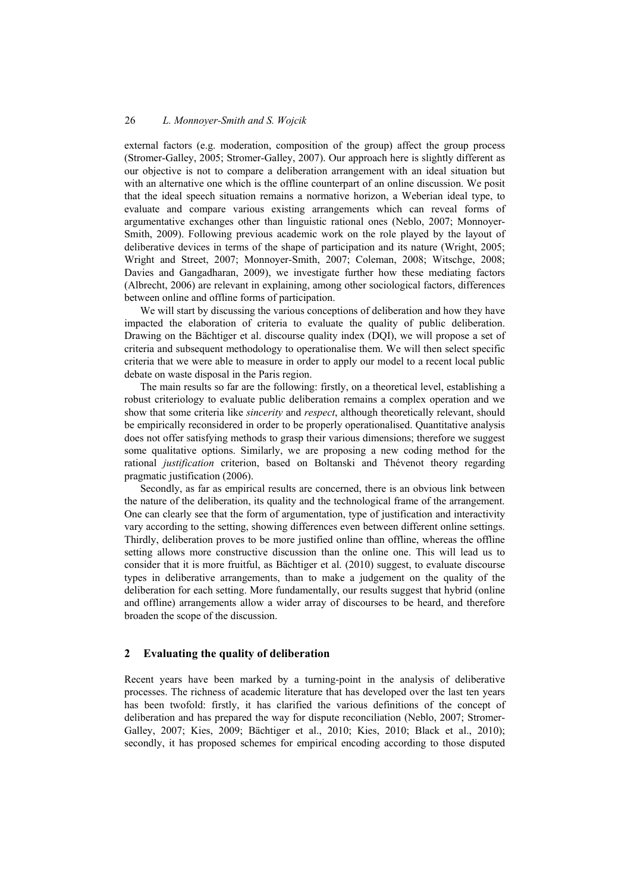external factors (e.g. moderation, composition of the group) affect the group process (Stromer-Galley, 2005; Stromer-Galley, 2007). Our approach here is slightly different as our objective is not to compare a deliberation arrangement with an ideal situation but with an alternative one which is the offline counterpart of an online discussion. We posit that the ideal speech situation remains a normative horizon, a Weberian ideal type, to evaluate and compare various existing arrangements which can reveal forms of argumentative exchanges other than linguistic rational ones (Neblo, 2007; Monnoyer-Smith, 2009). Following previous academic work on the role played by the layout of deliberative devices in terms of the shape of participation and its nature (Wright, 2005; Wright and Street, 2007; Monnoyer-Smith, 2007; Coleman, 2008; Witschge, 2008; Davies and Gangadharan, 2009), we investigate further how these mediating factors (Albrecht, 2006) are relevant in explaining, among other sociological factors, differences between online and offline forms of participation.

We will start by discussing the various conceptions of deliberation and how they have impacted the elaboration of criteria to evaluate the quality of public deliberation. Drawing on the Bächtiger et al. discourse quality index (DQI), we will propose a set of criteria and subsequent methodology to operationalise them. We will then select specific criteria that we were able to measure in order to apply our model to a recent local public debate on waste disposal in the Paris region.

The main results so far are the following: firstly, on a theoretical level, establishing a robust criteriology to evaluate public deliberation remains a complex operation and we show that some criteria like *sincerity* and *respect*, although theoretically relevant, should be empirically reconsidered in order to be properly operationalised. Quantitative analysis does not offer satisfying methods to grasp their various dimensions; therefore we suggest some qualitative options. Similarly, we are proposing a new coding method for the rational *justification* criterion, based on Boltanski and Thévenot theory regarding pragmatic justification (2006).

Secondly, as far as empirical results are concerned, there is an obvious link between the nature of the deliberation, its quality and the technological frame of the arrangement. One can clearly see that the form of argumentation, type of justification and interactivity vary according to the setting, showing differences even between different online settings. Thirdly, deliberation proves to be more justified online than offline, whereas the offline setting allows more constructive discussion than the online one. This will lead us to consider that it is more fruitful, as Bächtiger et al. (2010) suggest, to evaluate discourse types in deliberative arrangements, than to make a judgement on the quality of the deliberation for each setting. More fundamentally, our results suggest that hybrid (online and offline) arrangements allow a wider array of discourses to be heard, and therefore broaden the scope of the discussion.

## **2 Evaluating the quality of deliberation**

Recent years have been marked by a turning-point in the analysis of deliberative processes. The richness of academic literature that has developed over the last ten years has been twofold: firstly, it has clarified the various definitions of the concept of deliberation and has prepared the way for dispute reconciliation (Neblo, 2007; Stromer-Galley, 2007; Kies, 2009; Bächtiger et al., 2010; Kies, 2010; Black et al., 2010); secondly, it has proposed schemes for empirical encoding according to those disputed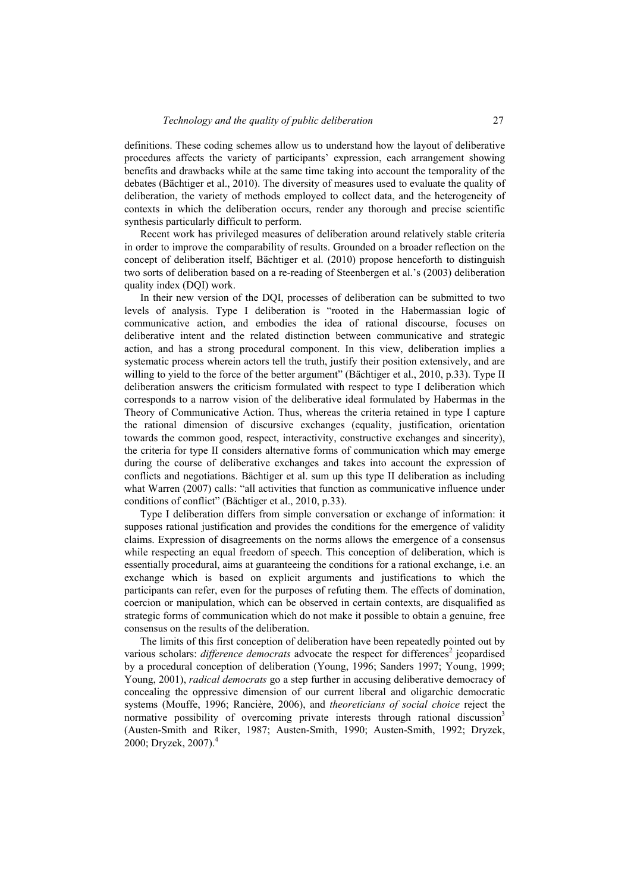definitions. These coding schemes allow us to understand how the layout of deliberative procedures affects the variety of participants' expression, each arrangement showing benefits and drawbacks while at the same time taking into account the temporality of the debates (Bächtiger et al., 2010). The diversity of measures used to evaluate the quality of deliberation, the variety of methods employed to collect data, and the heterogeneity of contexts in which the deliberation occurs, render any thorough and precise scientific synthesis particularly difficult to perform.

Recent work has privileged measures of deliberation around relatively stable criteria in order to improve the comparability of results. Grounded on a broader reflection on the concept of deliberation itself, Bächtiger et al. (2010) propose henceforth to distinguish two sorts of deliberation based on a re-reading of Steenbergen et al.'s (2003) deliberation quality index (DQI) work.

In their new version of the DQI, processes of deliberation can be submitted to two levels of analysis. Type I deliberation is "rooted in the Habermassian logic of communicative action, and embodies the idea of rational discourse, focuses on deliberative intent and the related distinction between communicative and strategic action, and has a strong procedural component. In this view, deliberation implies a systematic process wherein actors tell the truth, justify their position extensively, and are willing to yield to the force of the better argument" (Bächtiger et al., 2010, p.33). Type II deliberation answers the criticism formulated with respect to type I deliberation which corresponds to a narrow vision of the deliberative ideal formulated by Habermas in the Theory of Communicative Action. Thus, whereas the criteria retained in type I capture the rational dimension of discursive exchanges (equality, justification, orientation towards the common good, respect, interactivity, constructive exchanges and sincerity), the criteria for type II considers alternative forms of communication which may emerge during the course of deliberative exchanges and takes into account the expression of conflicts and negotiations. Bächtiger et al. sum up this type II deliberation as including what Warren (2007) calls: "all activities that function as communicative influence under conditions of conflict" (Bächtiger et al., 2010, p.33).

Type I deliberation differs from simple conversation or exchange of information: it supposes rational justification and provides the conditions for the emergence of validity claims. Expression of disagreements on the norms allows the emergence of a consensus while respecting an equal freedom of speech. This conception of deliberation, which is essentially procedural, aims at guaranteeing the conditions for a rational exchange, i.e. an exchange which is based on explicit arguments and justifications to which the participants can refer, even for the purposes of refuting them. The effects of domination, coercion or manipulation, which can be observed in certain contexts, are disqualified as strategic forms of communication which do not make it possible to obtain a genuine, free consensus on the results of the deliberation.

The limits of this first conception of deliberation have been repeatedly pointed out by various scholars: *difference democrats* advocate the respect for differences<sup>2</sup> jeopardised by a procedural conception of deliberation (Young, 1996; Sanders 1997; Young, 1999; Young, 2001), *radical democrats* go a step further in accusing deliberative democracy of concealing the oppressive dimension of our current liberal and oligarchic democratic systems (Mouffe, 1996; Rancière, 2006), and *theoreticians of social choice* reject the normative possibility of overcoming private interests through rational discussion<sup>3</sup> (Austen-Smith and Riker, 1987; Austen-Smith, 1990; Austen-Smith, 1992; Dryzek, 2000; Dryzek, 2007).<sup>4</sup>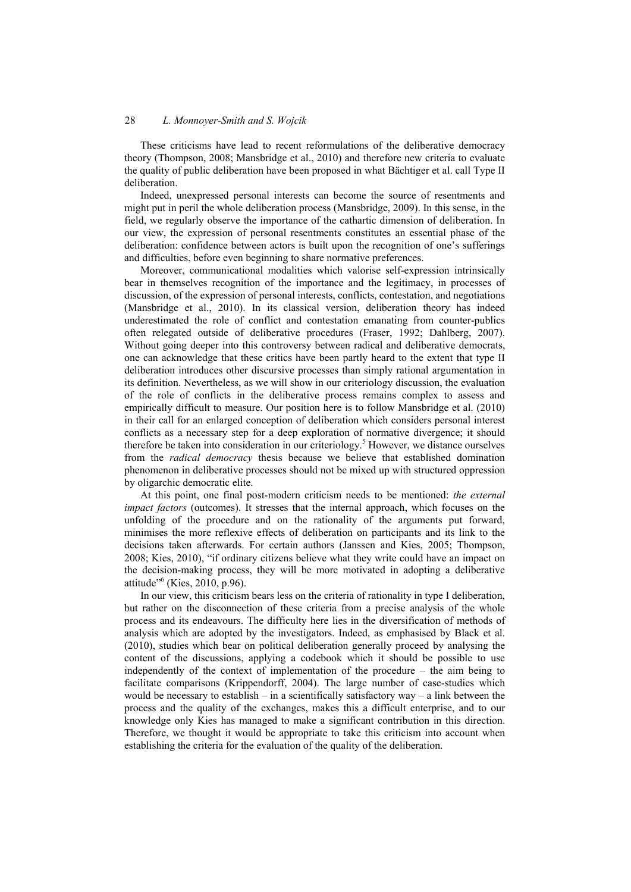These criticisms have lead to recent reformulations of the deliberative democracy theory (Thompson, 2008; Mansbridge et al., 2010) and therefore new criteria to evaluate the quality of public deliberation have been proposed in what Bächtiger et al. call Type II deliberation.

Indeed, unexpressed personal interests can become the source of resentments and might put in peril the whole deliberation process (Mansbridge, 2009). In this sense, in the field, we regularly observe the importance of the cathartic dimension of deliberation. In our view, the expression of personal resentments constitutes an essential phase of the deliberation: confidence between actors is built upon the recognition of one's sufferings and difficulties, before even beginning to share normative preferences.

Moreover, communicational modalities which valorise self-expression intrinsically bear in themselves recognition of the importance and the legitimacy, in processes of discussion, of the expression of personal interests, conflicts, contestation, and negotiations (Mansbridge et al., 2010). In its classical version, deliberation theory has indeed underestimated the role of conflict and contestation emanating from counter-publics often relegated outside of deliberative procedures (Fraser, 1992; Dahlberg, 2007). Without going deeper into this controversy between radical and deliberative democrats, one can acknowledge that these critics have been partly heard to the extent that type II deliberation introduces other discursive processes than simply rational argumentation in its definition. Nevertheless, as we will show in our criteriology discussion, the evaluation of the role of conflicts in the deliberative process remains complex to assess and empirically difficult to measure. Our position here is to follow Mansbridge et al. (2010) in their call for an enlarged conception of deliberation which considers personal interest conflicts as a necessary step for a deep exploration of normative divergence; it should therefore be taken into consideration in our criteriology.<sup>5</sup> However, we distance ourselves from the *radical democracy* thesis because we believe that established domination phenomenon in deliberative processes should not be mixed up with structured oppression by oligarchic democratic elite.

At this point, one final post-modern criticism needs to be mentioned: *the external impact factors* (outcomes). It stresses that the internal approach, which focuses on the unfolding of the procedure and on the rationality of the arguments put forward, minimises the more reflexive effects of deliberation on participants and its link to the decisions taken afterwards. For certain authors (Janssen and Kies, 2005; Thompson, 2008; Kies, 2010), "if ordinary citizens believe what they write could have an impact on the decision-making process, they will be more motivated in adopting a deliberative attitude"6 (Kies, 2010, p.96).

In our view, this criticism bears less on the criteria of rationality in type I deliberation, but rather on the disconnection of these criteria from a precise analysis of the whole process and its endeavours. The difficulty here lies in the diversification of methods of analysis which are adopted by the investigators. Indeed, as emphasised by Black et al. (2010), studies which bear on political deliberation generally proceed by analysing the content of the discussions, applying a codebook which it should be possible to use independently of the context of implementation of the procedure – the aim being to facilitate comparisons (Krippendorff, 2004). The large number of case-studies which would be necessary to establish – in a scientifically satisfactory way – a link between the process and the quality of the exchanges, makes this a difficult enterprise, and to our knowledge only Kies has managed to make a significant contribution in this direction. Therefore, we thought it would be appropriate to take this criticism into account when establishing the criteria for the evaluation of the quality of the deliberation.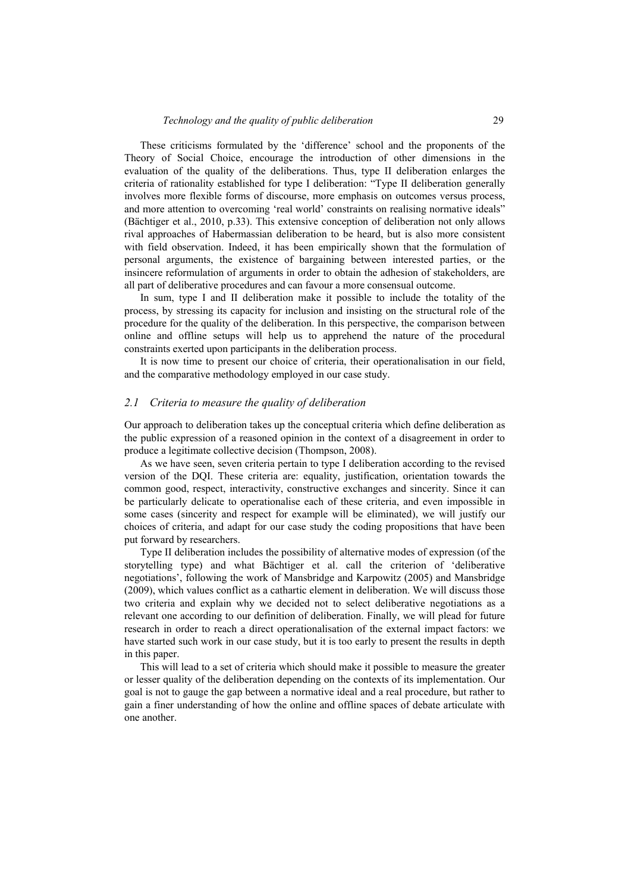These criticisms formulated by the 'difference' school and the proponents of the Theory of Social Choice, encourage the introduction of other dimensions in the evaluation of the quality of the deliberations. Thus, type II deliberation enlarges the criteria of rationality established for type I deliberation: "Type II deliberation generally involves more flexible forms of discourse, more emphasis on outcomes versus process, and more attention to overcoming 'real world' constraints on realising normative ideals" (Bächtiger et al., 2010, p.33). This extensive conception of deliberation not only allows rival approaches of Habermassian deliberation to be heard, but is also more consistent with field observation. Indeed, it has been empirically shown that the formulation of personal arguments, the existence of bargaining between interested parties, or the insincere reformulation of arguments in order to obtain the adhesion of stakeholders, are all part of deliberative procedures and can favour a more consensual outcome.

In sum, type I and II deliberation make it possible to include the totality of the process, by stressing its capacity for inclusion and insisting on the structural role of the procedure for the quality of the deliberation. In this perspective, the comparison between online and offline setups will help us to apprehend the nature of the procedural constraints exerted upon participants in the deliberation process.

It is now time to present our choice of criteria, their operationalisation in our field, and the comparative methodology employed in our case study.

#### *2.1 Criteria to measure the quality of deliberation*

Our approach to deliberation takes up the conceptual criteria which define deliberation as the public expression of a reasoned opinion in the context of a disagreement in order to produce a legitimate collective decision (Thompson, 2008).

As we have seen, seven criteria pertain to type I deliberation according to the revised version of the DQI. These criteria are: equality, justification, orientation towards the common good, respect, interactivity, constructive exchanges and sincerity. Since it can be particularly delicate to operationalise each of these criteria, and even impossible in some cases (sincerity and respect for example will be eliminated), we will justify our choices of criteria, and adapt for our case study the coding propositions that have been put forward by researchers.

Type II deliberation includes the possibility of alternative modes of expression (of the storytelling type) and what Bächtiger et al. call the criterion of 'deliberative negotiations', following the work of Mansbridge and Karpowitz (2005) and Mansbridge (2009), which values conflict as a cathartic element in deliberation. We will discuss those two criteria and explain why we decided not to select deliberative negotiations as a relevant one according to our definition of deliberation. Finally, we will plead for future research in order to reach a direct operationalisation of the external impact factors: we have started such work in our case study, but it is too early to present the results in depth in this paper.

This will lead to a set of criteria which should make it possible to measure the greater or lesser quality of the deliberation depending on the contexts of its implementation. Our goal is not to gauge the gap between a normative ideal and a real procedure, but rather to gain a finer understanding of how the online and offline spaces of debate articulate with one another.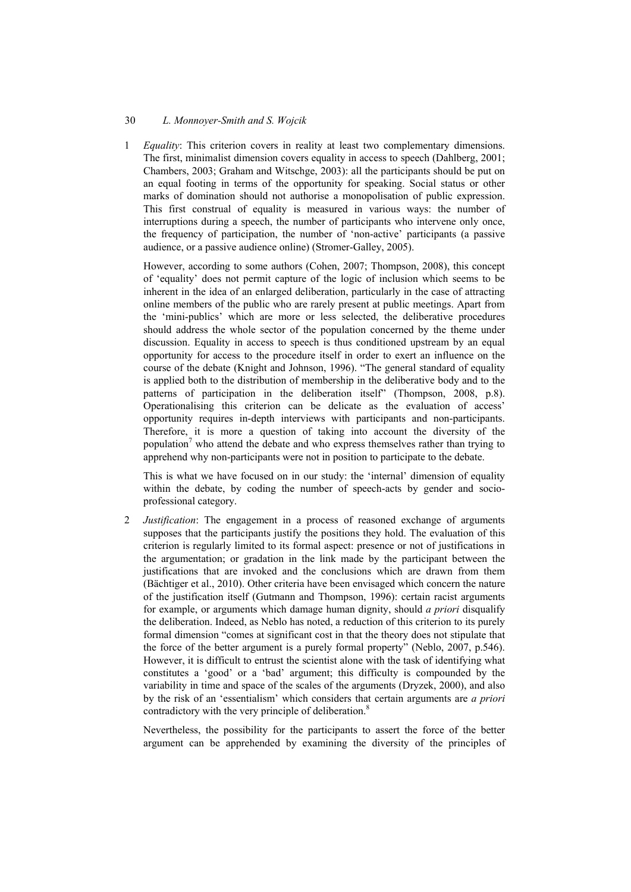1 *Equality*: This criterion covers in reality at least two complementary dimensions. The first, minimalist dimension covers equality in access to speech (Dahlberg, 2001; Chambers, 2003; Graham and Witschge, 2003): all the participants should be put on an equal footing in terms of the opportunity for speaking. Social status or other marks of domination should not authorise a monopolisation of public expression. This first construal of equality is measured in various ways: the number of interruptions during a speech, the number of participants who intervene only once, the frequency of participation, the number of 'non-active' participants (a passive audience, or a passive audience online) (Stromer-Galley, 2005).

 However, according to some authors (Cohen, 2007; Thompson, 2008), this concept of 'equality' does not permit capture of the logic of inclusion which seems to be inherent in the idea of an enlarged deliberation, particularly in the case of attracting online members of the public who are rarely present at public meetings. Apart from the 'mini-publics' which are more or less selected, the deliberative procedures should address the whole sector of the population concerned by the theme under discussion. Equality in access to speech is thus conditioned upstream by an equal opportunity for access to the procedure itself in order to exert an influence on the course of the debate (Knight and Johnson, 1996). "The general standard of equality is applied both to the distribution of membership in the deliberative body and to the patterns of participation in the deliberation itself" (Thompson, 2008, p.8). Operationalising this criterion can be delicate as the evaluation of access' opportunity requires in-depth interviews with participants and non-participants. Therefore, it is more a question of taking into account the diversity of the population<sup>7</sup> who attend the debate and who express themselves rather than trying to apprehend why non-participants were not in position to participate to the debate.

 This is what we have focused on in our study: the 'internal' dimension of equality within the debate, by coding the number of speech-acts by gender and socioprofessional category.

2 *Justification*: The engagement in a process of reasoned exchange of arguments supposes that the participants justify the positions they hold. The evaluation of this criterion is regularly limited to its formal aspect: presence or not of justifications in the argumentation; or gradation in the link made by the participant between the justifications that are invoked and the conclusions which are drawn from them (Bächtiger et al., 2010). Other criteria have been envisaged which concern the nature of the justification itself (Gutmann and Thompson, 1996): certain racist arguments for example, or arguments which damage human dignity, should *a priori* disqualify the deliberation. Indeed, as Neblo has noted, a reduction of this criterion to its purely formal dimension "comes at significant cost in that the theory does not stipulate that the force of the better argument is a purely formal property" (Neblo, 2007, p.546). However, it is difficult to entrust the scientist alone with the task of identifying what constitutes a 'good' or a 'bad' argument; this difficulty is compounded by the variability in time and space of the scales of the arguments (Dryzek, 2000), and also by the risk of an 'essentialism' which considers that certain arguments are *a priori* contradictory with the very principle of deliberation.<sup>8</sup>

 Nevertheless, the possibility for the participants to assert the force of the better argument can be apprehended by examining the diversity of the principles of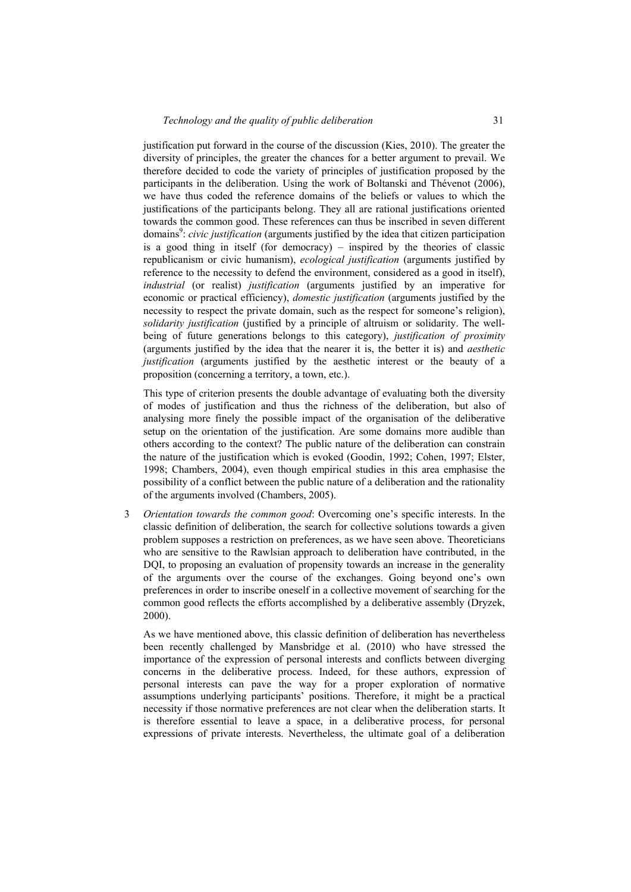justification put forward in the course of the discussion (Kies, 2010). The greater the diversity of principles, the greater the chances for a better argument to prevail. We therefore decided to code the variety of principles of justification proposed by the participants in the deliberation. Using the work of Boltanski and Thévenot (2006), we have thus coded the reference domains of the beliefs or values to which the justifications of the participants belong. They all are rational justifications oriented towards the common good. These references can thus be inscribed in seven different domains<sup>9</sup>: *civic justification* (arguments justified by the idea that citizen participation is a good thing in itself (for democracy) – inspired by the theories of classic republicanism or civic humanism), *ecological justification* (arguments justified by reference to the necessity to defend the environment, considered as a good in itself), *industrial* (or realist) *justification* (arguments justified by an imperative for economic or practical efficiency), *domestic justification* (arguments justified by the necessity to respect the private domain, such as the respect for someone's religion), *solidarity justification* (justified by a principle of altruism or solidarity. The wellbeing of future generations belongs to this category), *justification of proximity* (arguments justified by the idea that the nearer it is, the better it is) and *aesthetic justification* (arguments justified by the aesthetic interest or the beauty of a proposition (concerning a territory, a town, etc.).

 This type of criterion presents the double advantage of evaluating both the diversity of modes of justification and thus the richness of the deliberation, but also of analysing more finely the possible impact of the organisation of the deliberative setup on the orientation of the justification. Are some domains more audible than others according to the context? The public nature of the deliberation can constrain the nature of the justification which is evoked (Goodin, 1992; Cohen, 1997; Elster, 1998; Chambers, 2004), even though empirical studies in this area emphasise the possibility of a conflict between the public nature of a deliberation and the rationality of the arguments involved (Chambers, 2005).

3 *Orientation towards the common good*: Overcoming one's specific interests. In the classic definition of deliberation, the search for collective solutions towards a given problem supposes a restriction on preferences, as we have seen above. Theoreticians who are sensitive to the Rawlsian approach to deliberation have contributed, in the DQI, to proposing an evaluation of propensity towards an increase in the generality of the arguments over the course of the exchanges. Going beyond one's own preferences in order to inscribe oneself in a collective movement of searching for the common good reflects the efforts accomplished by a deliberative assembly (Dryzek, 2000).

 As we have mentioned above, this classic definition of deliberation has nevertheless been recently challenged by Mansbridge et al. (2010) who have stressed the importance of the expression of personal interests and conflicts between diverging concerns in the deliberative process. Indeed, for these authors, expression of personal interests can pave the way for a proper exploration of normative assumptions underlying participants' positions. Therefore, it might be a practical necessity if those normative preferences are not clear when the deliberation starts. It is therefore essential to leave a space, in a deliberative process, for personal expressions of private interests. Nevertheless, the ultimate goal of a deliberation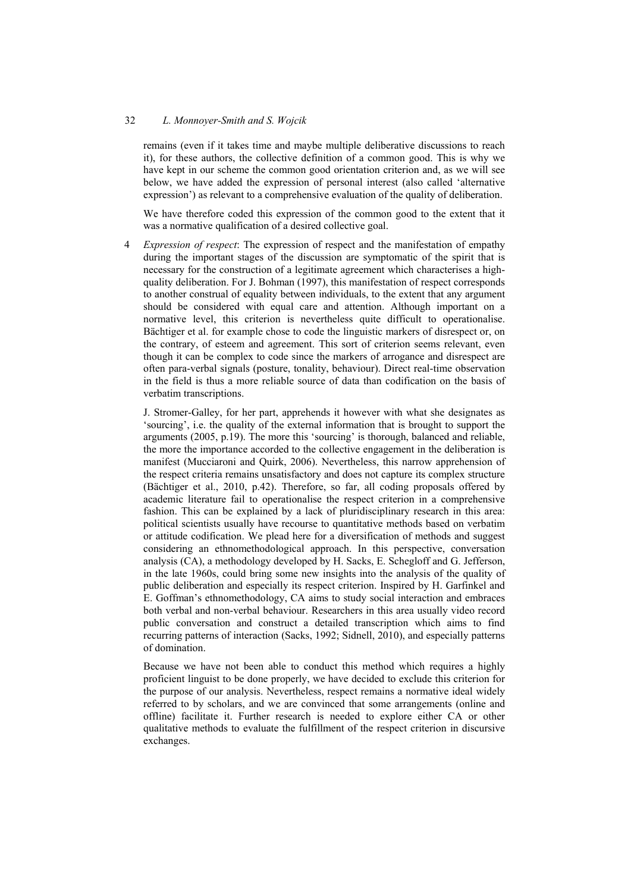remains (even if it takes time and maybe multiple deliberative discussions to reach it), for these authors, the collective definition of a common good. This is why we have kept in our scheme the common good orientation criterion and, as we will see below, we have added the expression of personal interest (also called 'alternative expression') as relevant to a comprehensive evaluation of the quality of deliberation.

 We have therefore coded this expression of the common good to the extent that it was a normative qualification of a desired collective goal.

4 *Expression of respect*: The expression of respect and the manifestation of empathy during the important stages of the discussion are symptomatic of the spirit that is necessary for the construction of a legitimate agreement which characterises a highquality deliberation. For J. Bohman (1997), this manifestation of respect corresponds to another construal of equality between individuals, to the extent that any argument should be considered with equal care and attention. Although important on a normative level, this criterion is nevertheless quite difficult to operationalise. Bächtiger et al. for example chose to code the linguistic markers of disrespect or, on the contrary, of esteem and agreement. This sort of criterion seems relevant, even though it can be complex to code since the markers of arrogance and disrespect are often para-verbal signals (posture, tonality, behaviour). Direct real-time observation in the field is thus a more reliable source of data than codification on the basis of verbatim transcriptions.

 J. Stromer-Galley, for her part, apprehends it however with what she designates as 'sourcing', i.e. the quality of the external information that is brought to support the arguments (2005, p.19). The more this 'sourcing' is thorough, balanced and reliable, the more the importance accorded to the collective engagement in the deliberation is manifest (Mucciaroni and Quirk, 2006). Nevertheless, this narrow apprehension of the respect criteria remains unsatisfactory and does not capture its complex structure (Bächtiger et al., 2010, p.42). Therefore, so far, all coding proposals offered by academic literature fail to operationalise the respect criterion in a comprehensive fashion. This can be explained by a lack of pluridisciplinary research in this area: political scientists usually have recourse to quantitative methods based on verbatim or attitude codification. We plead here for a diversification of methods and suggest considering an ethnomethodological approach. In this perspective, conversation analysis (CA), a methodology developed by H. Sacks, E. Schegloff and G. Jefferson, in the late 1960s, could bring some new insights into the analysis of the quality of public deliberation and especially its respect criterion. Inspired by H. Garfinkel and E. Goffman's ethnomethodology, CA aims to study social interaction and embraces both verbal and non-verbal behaviour. Researchers in this area usually video record public conversation and construct a detailed transcription which aims to find recurring patterns of interaction (Sacks, 1992; Sidnell, 2010), and especially patterns of domination.

 Because we have not been able to conduct this method which requires a highly proficient linguist to be done properly, we have decided to exclude this criterion for the purpose of our analysis. Nevertheless, respect remains a normative ideal widely referred to by scholars, and we are convinced that some arrangements (online and offline) facilitate it. Further research is needed to explore either CA or other qualitative methods to evaluate the fulfillment of the respect criterion in discursive exchanges.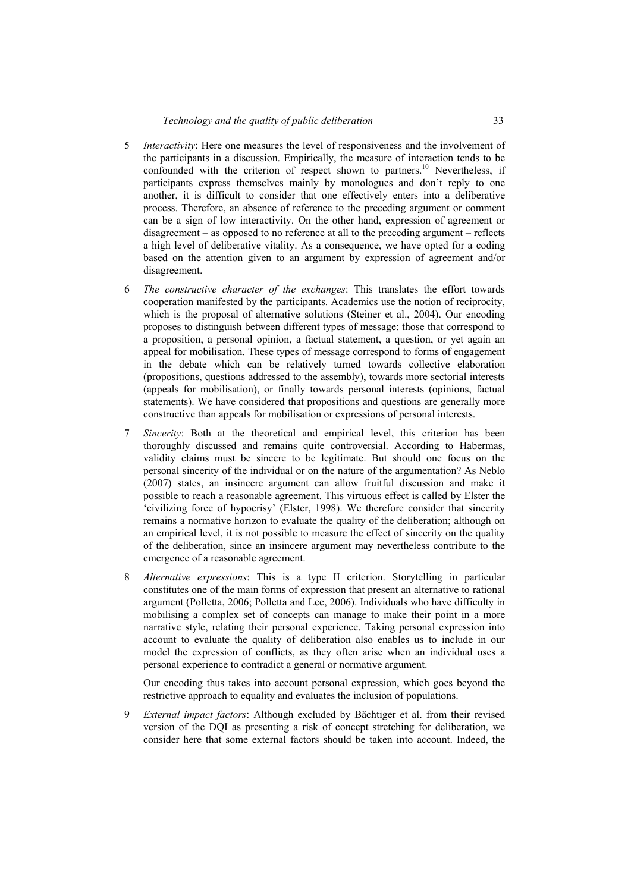- 5 *Interactivity*: Here one measures the level of responsiveness and the involvement of the participants in a discussion. Empirically, the measure of interaction tends to be confounded with the criterion of respect shown to partners.<sup>10</sup> Nevertheless, if participants express themselves mainly by monologues and don't reply to one another, it is difficult to consider that one effectively enters into a deliberative process. Therefore, an absence of reference to the preceding argument or comment can be a sign of low interactivity. On the other hand, expression of agreement or disagreement – as opposed to no reference at all to the preceding argument – reflects a high level of deliberative vitality. As a consequence, we have opted for a coding based on the attention given to an argument by expression of agreement and/or disagreement.
- 6 *The constructive character of the exchanges*: This translates the effort towards cooperation manifested by the participants. Academics use the notion of reciprocity, which is the proposal of alternative solutions (Steiner et al., 2004). Our encoding proposes to distinguish between different types of message: those that correspond to a proposition, a personal opinion, a factual statement, a question, or yet again an appeal for mobilisation. These types of message correspond to forms of engagement in the debate which can be relatively turned towards collective elaboration (propositions, questions addressed to the assembly), towards more sectorial interests (appeals for mobilisation), or finally towards personal interests (opinions, factual statements). We have considered that propositions and questions are generally more constructive than appeals for mobilisation or expressions of personal interests.
- 7 *Sincerity*: Both at the theoretical and empirical level, this criterion has been thoroughly discussed and remains quite controversial. According to Habermas, validity claims must be sincere to be legitimate. But should one focus on the personal sincerity of the individual or on the nature of the argumentation? As Neblo (2007) states, an insincere argument can allow fruitful discussion and make it possible to reach a reasonable agreement. This virtuous effect is called by Elster the 'civilizing force of hypocrisy' (Elster, 1998). We therefore consider that sincerity remains a normative horizon to evaluate the quality of the deliberation; although on an empirical level, it is not possible to measure the effect of sincerity on the quality of the deliberation, since an insincere argument may nevertheless contribute to the emergence of a reasonable agreement.
- 8 *Alternative expressions*: This is a type II criterion. Storytelling in particular constitutes one of the main forms of expression that present an alternative to rational argument (Polletta, 2006; Polletta and Lee, 2006). Individuals who have difficulty in mobilising a complex set of concepts can manage to make their point in a more narrative style, relating their personal experience. Taking personal expression into account to evaluate the quality of deliberation also enables us to include in our model the expression of conflicts, as they often arise when an individual uses a personal experience to contradict a general or normative argument.

 Our encoding thus takes into account personal expression, which goes beyond the restrictive approach to equality and evaluates the inclusion of populations.

9 *External impact factors*: Although excluded by Bächtiger et al. from their revised version of the DQI as presenting a risk of concept stretching for deliberation, we consider here that some external factors should be taken into account. Indeed, the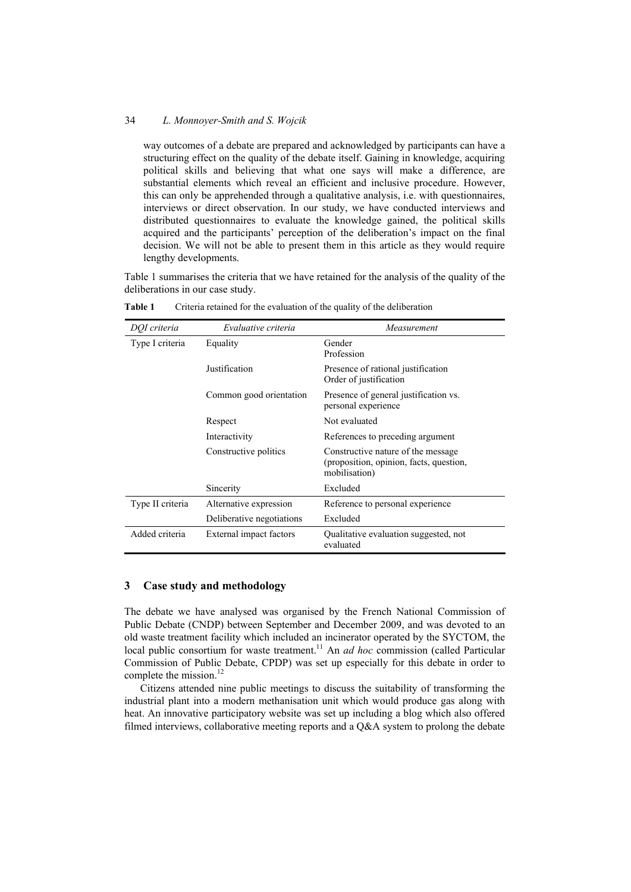way outcomes of a debate are prepared and acknowledged by participants can have a structuring effect on the quality of the debate itself. Gaining in knowledge, acquiring political skills and believing that what one says will make a difference, are substantial elements which reveal an efficient and inclusive procedure. However, this can only be apprehended through a qualitative analysis, i.e. with questionnaires, interviews or direct observation. In our study, we have conducted interviews and distributed questionnaires to evaluate the knowledge gained, the political skills acquired and the participants' perception of the deliberation's impact on the final decision. We will not be able to present them in this article as they would require lengthy developments.

Table 1 summarises the criteria that we have retained for the analysis of the quality of the deliberations in our case study.

| DOI criteria     | Evaluative criteria       | Measurement                                                                                    |
|------------------|---------------------------|------------------------------------------------------------------------------------------------|
| Type I criteria  | Equality                  | Gender<br>Profession                                                                           |
|                  | Justification             | Presence of rational justification<br>Order of justification                                   |
|                  | Common good orientation   | Presence of general justification vs.<br>personal experience                                   |
|                  | Respect                   | Not evaluated                                                                                  |
|                  | Interactivity             | References to preceding argument                                                               |
|                  | Constructive politics     | Constructive nature of the message<br>(proposition, opinion, facts, question,<br>mobilisation) |
|                  | Sincerity                 | Excluded                                                                                       |
| Type II criteria | Alternative expression    | Reference to personal experience                                                               |
|                  | Deliberative negotiations | Excluded                                                                                       |
| Added criteria   | External impact factors   | Qualitative evaluation suggested, not<br>evaluated                                             |

**Table 1** Criteria retained for the evaluation of the quality of the deliberation

## **3 Case study and methodology**

The debate we have analysed was organised by the French National Commission of Public Debate (CNDP) between September and December 2009, and was devoted to an old waste treatment facility which included an incinerator operated by the SYCTOM, the local public consortium for waste treatment.<sup>11</sup> An *ad hoc* commission (called Particular Commission of Public Debate, CPDP) was set up especially for this debate in order to complete the mission.<sup>12</sup>

Citizens attended nine public meetings to discuss the suitability of transforming the industrial plant into a modern methanisation unit which would produce gas along with heat. An innovative participatory website was set up including a blog which also offered filmed interviews, collaborative meeting reports and a  $O&A$  system to prolong the debate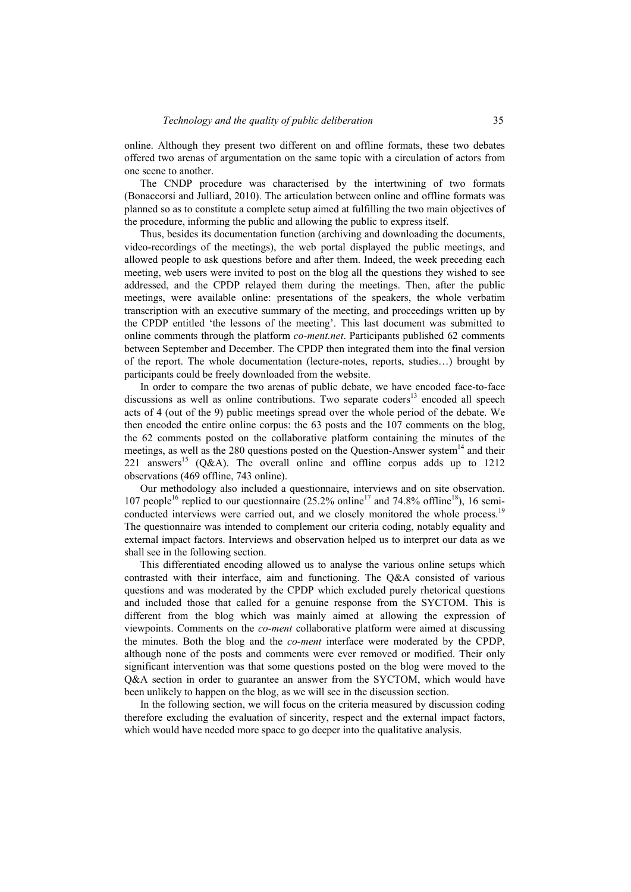online. Although they present two different on and offline formats, these two debates offered two arenas of argumentation on the same topic with a circulation of actors from one scene to another.

The CNDP procedure was characterised by the intertwining of two formats (Bonaccorsi and Julliard, 2010). The articulation between online and offline formats was planned so as to constitute a complete setup aimed at fulfilling the two main objectives of the procedure, informing the public and allowing the public to express itself.

Thus, besides its documentation function (archiving and downloading the documents, video-recordings of the meetings), the web portal displayed the public meetings, and allowed people to ask questions before and after them. Indeed, the week preceding each meeting, web users were invited to post on the blog all the questions they wished to see addressed, and the CPDP relayed them during the meetings. Then, after the public meetings, were available online: presentations of the speakers, the whole verbatim transcription with an executive summary of the meeting, and proceedings written up by the CPDP entitled 'the lessons of the meeting'. This last document was submitted to online comments through the platform *co-ment.net*. Participants published 62 comments between September and December. The CPDP then integrated them into the final version of the report. The whole documentation (lecture-notes, reports, studies…) brought by participants could be freely downloaded from the website.

In order to compare the two arenas of public debate, we have encoded face-to-face discussions as well as online contributions. Two separate coders $13$  encoded all speech acts of 4 (out of the 9) public meetings spread over the whole period of the debate. We then encoded the entire online corpus: the 63 posts and the 107 comments on the blog, the 62 comments posted on the collaborative platform containing the minutes of the meetings, as well as the  $280$  questions posted on the Question-Answer system<sup>14</sup> and their 221 answers<sup>15</sup> (Q&A). The overall online and offline corpus adds up to 1212 observations (469 offline, 743 online).

Our methodology also included a questionnaire, interviews and on site observation. 107 people<sup>16</sup> replied to our questionnaire (25.2% online<sup>17</sup> and 74.8% offline<sup>18</sup>), 16 semiconducted interviews were carried out, and we closely monitored the whole process.<sup>19</sup> The questionnaire was intended to complement our criteria coding, notably equality and external impact factors. Interviews and observation helped us to interpret our data as we shall see in the following section.

This differentiated encoding allowed us to analyse the various online setups which contrasted with their interface, aim and functioning. The Q&A consisted of various questions and was moderated by the CPDP which excluded purely rhetorical questions and included those that called for a genuine response from the SYCTOM. This is different from the blog which was mainly aimed at allowing the expression of viewpoints. Comments on the *co-ment* collaborative platform were aimed at discussing the minutes. Both the blog and the *co-ment* interface were moderated by the CPDP, although none of the posts and comments were ever removed or modified. Their only significant intervention was that some questions posted on the blog were moved to the Q&A section in order to guarantee an answer from the SYCTOM, which would have been unlikely to happen on the blog, as we will see in the discussion section.

In the following section, we will focus on the criteria measured by discussion coding therefore excluding the evaluation of sincerity, respect and the external impact factors, which would have needed more space to go deeper into the qualitative analysis.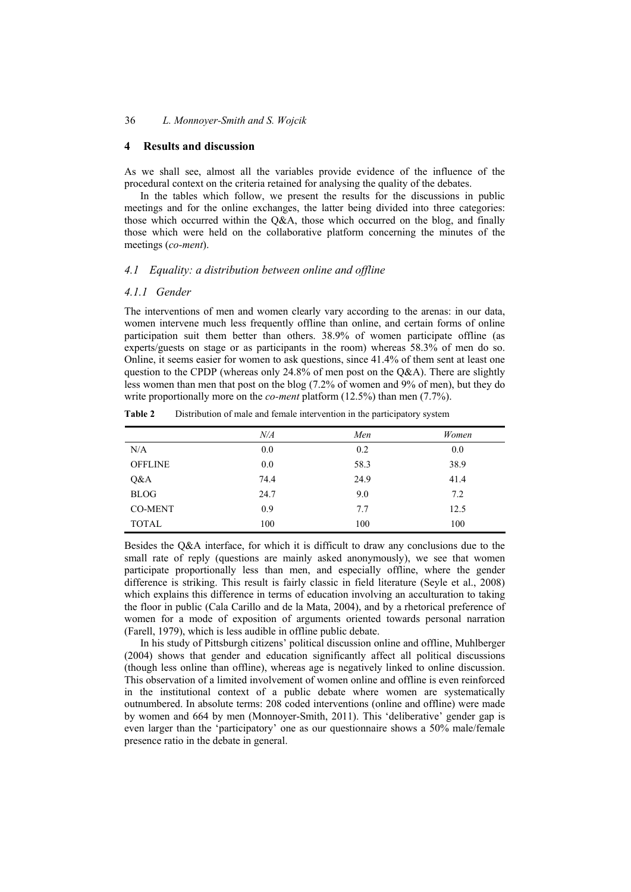## **4 Results and discussion**

As we shall see, almost all the variables provide evidence of the influence of the procedural context on the criteria retained for analysing the quality of the debates.

In the tables which follow, we present the results for the discussions in public meetings and for the online exchanges, the latter being divided into three categories: those which occurred within the Q&A, those which occurred on the blog, and finally those which were held on the collaborative platform concerning the minutes of the meetings (*co-ment*).

#### *4.1 Equality: a distribution between online and offline*

#### *4.1.1 Gender*

The interventions of men and women clearly vary according to the arenas: in our data, women intervene much less frequently offline than online, and certain forms of online participation suit them better than others. 38.9% of women participate offline (as experts/guests on stage or as participants in the room) whereas 58.3% of men do so. Online, it seems easier for women to ask questions, since 41.4% of them sent at least one question to the CPDP (whereas only 24.8% of men post on the  $O&A$ ). There are slightly less women than men that post on the blog (7.2% of women and 9% of men), but they do write proportionally more on the *co-ment* platform (12.5%) than men (7.7%).

| N/A  | Men  | Women |
|------|------|-------|
| 0.0  | 0.2  | 0.0   |
| 0.0  | 58.3 | 38.9  |
| 74.4 | 24.9 | 41.4  |
| 24.7 | 9.0  | 7.2   |
| 0.9  | 7.7  | 12.5  |
| 100  | 100  | 100   |
|      |      |       |

**Table 2** Distribution of male and female intervention in the participatory system

Besides the Q&A interface, for which it is difficult to draw any conclusions due to the small rate of reply (questions are mainly asked anonymously), we see that women participate proportionally less than men, and especially offline, where the gender difference is striking. This result is fairly classic in field literature (Seyle et al., 2008) which explains this difference in terms of education involving an acculturation to taking the floor in public (Cala Carillo and de la Mata, 2004), and by a rhetorical preference of women for a mode of exposition of arguments oriented towards personal narration (Farell, 1979), which is less audible in offline public debate.

In his study of Pittsburgh citizens' political discussion online and offline, Muhlberger (2004) shows that gender and education significantly affect all political discussions (though less online than offline), whereas age is negatively linked to online discussion. This observation of a limited involvement of women online and offline is even reinforced in the institutional context of a public debate where women are systematically outnumbered. In absolute terms: 208 coded interventions (online and offline) were made by women and 664 by men (Monnoyer-Smith, 2011). This 'deliberative' gender gap is even larger than the 'participatory' one as our questionnaire shows a 50% male/female presence ratio in the debate in general.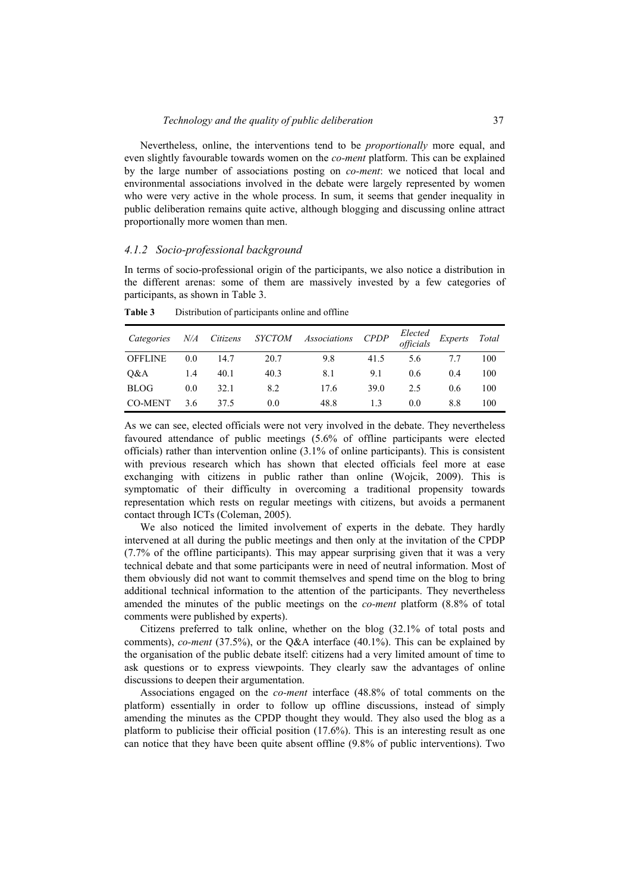Nevertheless, online, the interventions tend to be *proportionally* more equal, and even slightly favourable towards women on the *co-ment* platform. This can be explained by the large number of associations posting on *co-ment*: we noticed that local and environmental associations involved in the debate were largely represented by women who were very active in the whole process. In sum, it seems that gender inequality in public deliberation remains quite active, although blogging and discussing online attract proportionally more women than men.

## *4.1.2 Socio-professional background*

In terms of socio-professional origin of the participants, we also notice a distribution in the different arenas: some of them are massively invested by a few categories of participants, as shown in Table 3.

| Categories     | N/A | Citizens |      | SYCTOM Associations | CPDP | Elected<br>officials | Experts | Total |
|----------------|-----|----------|------|---------------------|------|----------------------|---------|-------|
| <b>OFFLINE</b> | 0.0 | 14.7     | 20.7 | 9.8                 | 41.5 | 5.6                  | 77      | 100   |
| O&A            | 1.4 | 40.1     | 40.3 | 8.1                 | 9.1  | 0.6                  | 0.4     | 100   |
| <b>BLOG</b>    | 0.0 | 32.1     | 8.2  | 17.6                | 39.0 | 2.5                  | 0.6     | 100   |
| <b>CO-MENT</b> | 36  | 37.5     | 0.0  | 48.8                | 13   | 0.0                  | 8.8     | 100   |

**Table 3** Distribution of participants online and offline

As we can see, elected officials were not very involved in the debate. They nevertheless favoured attendance of public meetings (5.6% of offline participants were elected officials) rather than intervention online (3.1% of online participants). This is consistent with previous research which has shown that elected officials feel more at ease exchanging with citizens in public rather than online (Wojcik, 2009). This is symptomatic of their difficulty in overcoming a traditional propensity towards representation which rests on regular meetings with citizens, but avoids a permanent contact through ICTs (Coleman, 2005).

We also noticed the limited involvement of experts in the debate. They hardly intervened at all during the public meetings and then only at the invitation of the CPDP (7.7% of the offline participants). This may appear surprising given that it was a very technical debate and that some participants were in need of neutral information. Most of them obviously did not want to commit themselves and spend time on the blog to bring additional technical information to the attention of the participants. They nevertheless amended the minutes of the public meetings on the *co-ment* platform (8.8% of total comments were published by experts).

Citizens preferred to talk online, whether on the blog (32.1% of total posts and comments), *co-ment* (37.5%), or the Q&A interface (40.1%). This can be explained by the organisation of the public debate itself: citizens had a very limited amount of time to ask questions or to express viewpoints. They clearly saw the advantages of online discussions to deepen their argumentation.

Associations engaged on the *co-ment* interface (48.8% of total comments on the platform) essentially in order to follow up offline discussions, instead of simply amending the minutes as the CPDP thought they would. They also used the blog as a platform to publicise their official position (17.6%). This is an interesting result as one can notice that they have been quite absent offline (9.8% of public interventions). Two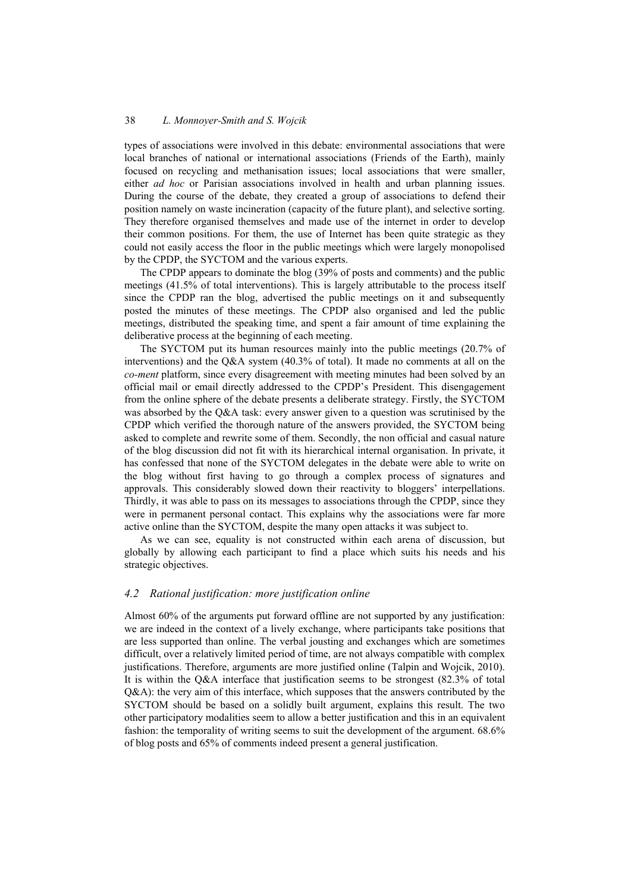types of associations were involved in this debate: environmental associations that were local branches of national or international associations (Friends of the Earth), mainly focused on recycling and methanisation issues; local associations that were smaller, either *ad hoc* or Parisian associations involved in health and urban planning issues. During the course of the debate, they created a group of associations to defend their position namely on waste incineration (capacity of the future plant), and selective sorting. They therefore organised themselves and made use of the internet in order to develop their common positions. For them, the use of Internet has been quite strategic as they could not easily access the floor in the public meetings which were largely monopolised by the CPDP, the SYCTOM and the various experts.

The CPDP appears to dominate the blog (39% of posts and comments) and the public meetings (41.5% of total interventions). This is largely attributable to the process itself since the CPDP ran the blog, advertised the public meetings on it and subsequently posted the minutes of these meetings. The CPDP also organised and led the public meetings, distributed the speaking time, and spent a fair amount of time explaining the deliberative process at the beginning of each meeting.

The SYCTOM put its human resources mainly into the public meetings (20.7% of interventions) and the Q&A system (40.3% of total). It made no comments at all on the *co-ment* platform, since every disagreement with meeting minutes had been solved by an official mail or email directly addressed to the CPDP's President. This disengagement from the online sphere of the debate presents a deliberate strategy. Firstly, the SYCTOM was absorbed by the Q&A task: every answer given to a question was scrutinised by the CPDP which verified the thorough nature of the answers provided, the SYCTOM being asked to complete and rewrite some of them. Secondly, the non official and casual nature of the blog discussion did not fit with its hierarchical internal organisation. In private, it has confessed that none of the SYCTOM delegates in the debate were able to write on the blog without first having to go through a complex process of signatures and approvals. This considerably slowed down their reactivity to bloggers' interpellations. Thirdly, it was able to pass on its messages to associations through the CPDP, since they were in permanent personal contact. This explains why the associations were far more active online than the SYCTOM, despite the many open attacks it was subject to.

As we can see, equality is not constructed within each arena of discussion, but globally by allowing each participant to find a place which suits his needs and his strategic objectives.

#### *4.2 Rational justification: more justification online*

Almost 60% of the arguments put forward offline are not supported by any justification: we are indeed in the context of a lively exchange, where participants take positions that are less supported than online. The verbal jousting and exchanges which are sometimes difficult, over a relatively limited period of time, are not always compatible with complex justifications. Therefore, arguments are more justified online (Talpin and Wojcik, 2010). It is within the Q&A interface that justification seems to be strongest (82.3% of total  $Q&A)$ : the very aim of this interface, which supposes that the answers contributed by the SYCTOM should be based on a solidly built argument, explains this result. The two other participatory modalities seem to allow a better justification and this in an equivalent fashion: the temporality of writing seems to suit the development of the argument. 68.6% of blog posts and 65% of comments indeed present a general justification.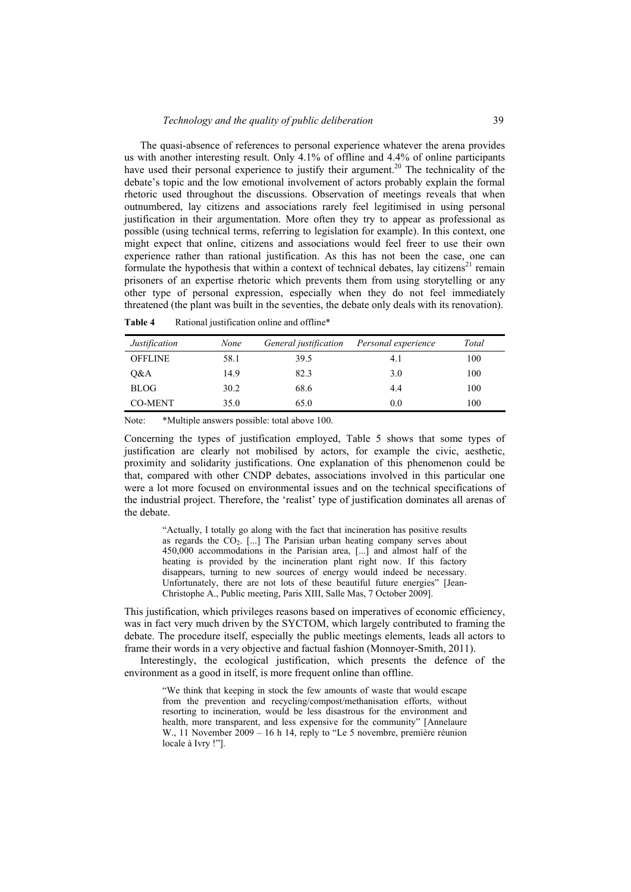The quasi-absence of references to personal experience whatever the arena provides us with another interesting result. Only 4.1% of offline and 4.4% of online participants have used their personal experience to justify their argument.<sup>20</sup> The technicality of the debate's topic and the low emotional involvement of actors probably explain the formal rhetoric used throughout the discussions. Observation of meetings reveals that when outnumbered, lay citizens and associations rarely feel legitimised in using personal justification in their argumentation. More often they try to appear as professional as possible (using technical terms, referring to legislation for example). In this context, one might expect that online, citizens and associations would feel freer to use their own experience rather than rational justification. As this has not been the case, one can formulate the hypothesis that within a context of technical debates, lay citizens<sup>21</sup> remain prisoners of an expertise rhetoric which prevents them from using storytelling or any other type of personal expression, especially when they do not feel immediately threatened (the plant was built in the seventies, the debate only deals with its renovation).

| Table 4 |  |  |  | Rational justification online and offline* |
|---------|--|--|--|--------------------------------------------|
|---------|--|--|--|--------------------------------------------|

| <b>Justification</b> | None | General justification | Personal experience | Total |
|----------------------|------|-----------------------|---------------------|-------|
| <b>OFFLINE</b>       | 58.1 | 39.5                  | 4.1                 | 100   |
| Q&A                  | 14.9 | 82.3                  | 3.0                 | 100   |
| <b>BLOG</b>          | 30.2 | 68.6                  | 4.4                 | 100   |
| <b>CO-MENT</b>       | 35.0 | 65.0                  | 0.0                 | 100   |

Note: \*Multiple answers possible: total above 100.

Concerning the types of justification employed, Table 5 shows that some types of justification are clearly not mobilised by actors, for example the civic, aesthetic, proximity and solidarity justifications. One explanation of this phenomenon could be that, compared with other CNDP debates, associations involved in this particular one were a lot more focused on environmental issues and on the technical specifications of the industrial project. Therefore, the 'realist' type of justification dominates all arenas of the debate.

"Actually, I totally go along with the fact that incineration has positive results as regards the  $CO<sub>2</sub>$ . [...] The Parisian urban heating company serves about 450,000 accommodations in the Parisian area, [...] and almost half of the heating is provided by the incineration plant right now. If this factory disappears, turning to new sources of energy would indeed be necessary. Unfortunately, there are not lots of these beautiful future energies" [Jean-Christophe A., Public meeting, Paris XIII, Salle Mas, 7 October 2009].

This justification, which privileges reasons based on imperatives of economic efficiency, was in fact very much driven by the SYCTOM, which largely contributed to framing the debate. The procedure itself, especially the public meetings elements, leads all actors to frame their words in a very objective and factual fashion (Monnoyer-Smith, 2011).

Interestingly, the ecological justification, which presents the defence of the environment as a good in itself, is more frequent online than offline.

"We think that keeping in stock the few amounts of waste that would escape from the prevention and recycling/compost/methanisation efforts, without resorting to incineration, would be less disastrous for the environment and health, more transparent, and less expensive for the community" [Annelaure W., 11 November 2009 – 16 h 14, reply to "Le 5 novembre, première réunion locale à Ivry !"].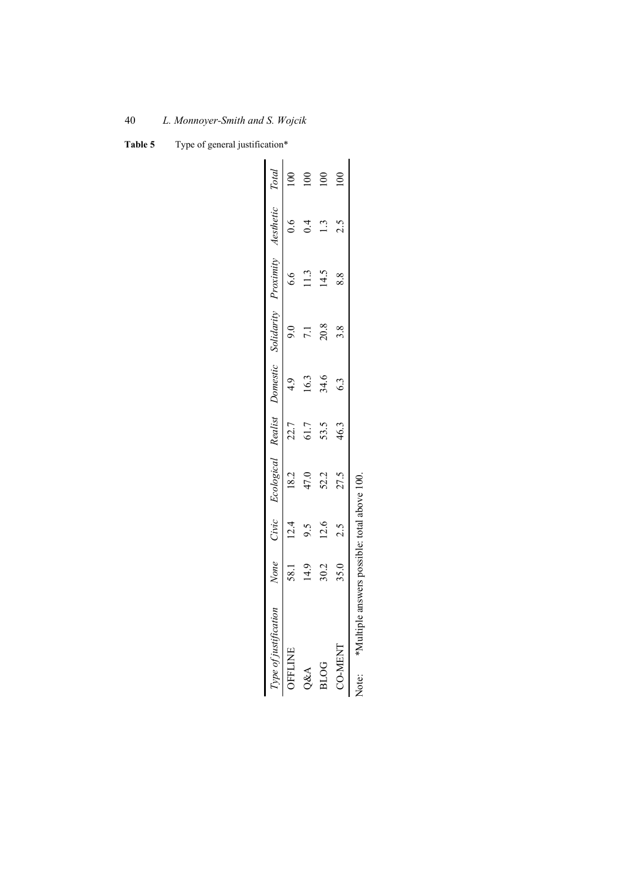Table 5 Type of general justification\*

|                |                                              |      |      | None Civic Ecological Realist Domestic Solidarity Proximity Aesthetic Total |      |      |             |               |  |
|----------------|----------------------------------------------|------|------|-----------------------------------------------------------------------------|------|------|-------------|---------------|--|
| <b>OFFLINE</b> |                                              |      | 12.4 | 18.2                                                                        | 22.7 |      | $\tilde{6}$ | 6.6           |  |
| Q&A            |                                              |      |      | 47.0                                                                        | 61.7 |      | 7.1         |               |  |
| <b>BLOG</b>    |                                              | 30.2 | 12.6 | 52.2                                                                        | 53.5 | 34.6 | 20.8        |               |  |
| <b>TAENT</b>   |                                              | 35.0 | 2.5  | 27.5                                                                        | 46.3 | 63   | 3.8         | $\frac{8}{8}$ |  |
| Note:          | *Multiple answers possible: total above 100. |      |      |                                                                             |      |      |             |               |  |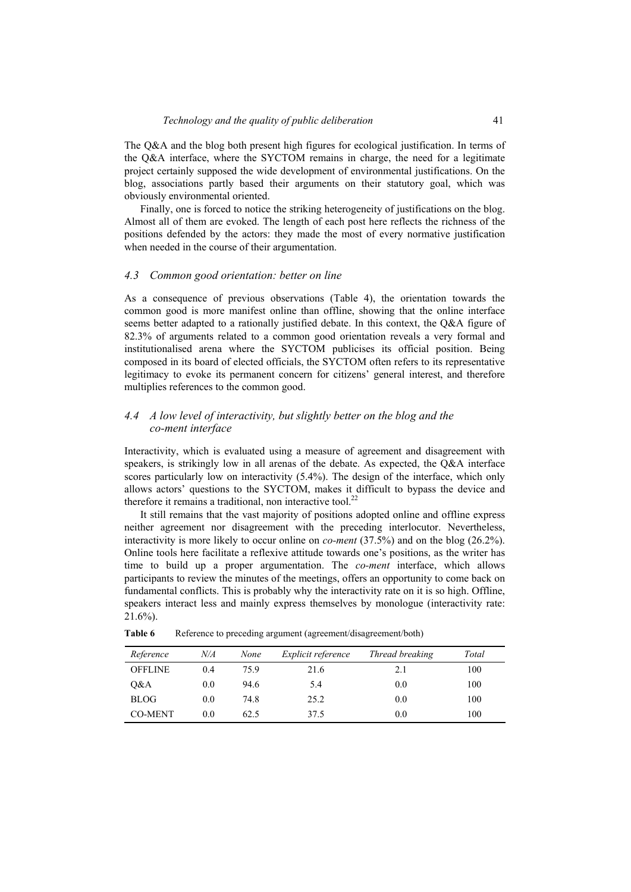The Q&A and the blog both present high figures for ecological justification. In terms of the Q&A interface, where the SYCTOM remains in charge, the need for a legitimate project certainly supposed the wide development of environmental justifications. On the blog, associations partly based their arguments on their statutory goal, which was obviously environmental oriented.

Finally, one is forced to notice the striking heterogeneity of justifications on the blog. Almost all of them are evoked. The length of each post here reflects the richness of the positions defended by the actors: they made the most of every normative justification when needed in the course of their argumentation.

#### *4.3 Common good orientation: better on line*

As a consequence of previous observations (Table 4), the orientation towards the common good is more manifest online than offline, showing that the online interface seems better adapted to a rationally justified debate. In this context, the Q&A figure of 82.3% of arguments related to a common good orientation reveals a very formal and institutionalised arena where the SYCTOM publicises its official position. Being composed in its board of elected officials, the SYCTOM often refers to its representative legitimacy to evoke its permanent concern for citizens' general interest, and therefore multiplies references to the common good.

## *4.4 A low level of interactivity, but slightly better on the blog and the co-ment interface*

Interactivity, which is evaluated using a measure of agreement and disagreement with speakers, is strikingly low in all arenas of the debate. As expected, the Q&A interface scores particularly low on interactivity (5.4%). The design of the interface, which only allows actors' questions to the SYCTOM, makes it difficult to bypass the device and therefore it remains a traditional, non interactive tool.<sup>22</sup>

It still remains that the vast majority of positions adopted online and offline express neither agreement nor disagreement with the preceding interlocutor. Nevertheless, interactivity is more likely to occur online on *co-ment* (37.5%) and on the blog (26.2%). Online tools here facilitate a reflexive attitude towards one's positions, as the writer has time to build up a proper argumentation. The *co-ment* interface, which allows participants to review the minutes of the meetings, offers an opportunity to come back on fundamental conflicts. This is probably why the interactivity rate on it is so high. Offline, speakers interact less and mainly express themselves by monologue (interactivity rate: 21.6%).

| Reference      | N/A | None | <i>Explicit reference</i> | Thread breaking | Total |
|----------------|-----|------|---------------------------|-----------------|-------|
| <b>OFFLINE</b> | 0.4 | 75.9 | 21.6                      | 2.1             | 100   |
| 0&A            | 0.0 | 94.6 | 5.4                       | 0.0             | 100   |
| <b>BLOG</b>    | 0.0 | 74.8 | 25.2                      | 0.0             | 100   |
| <b>CO-MENT</b> | 0.0 | 62.5 | 37.5                      | 0.0             | 100   |

**Table 6** Reference to preceding argument (agreement/disagreement/both)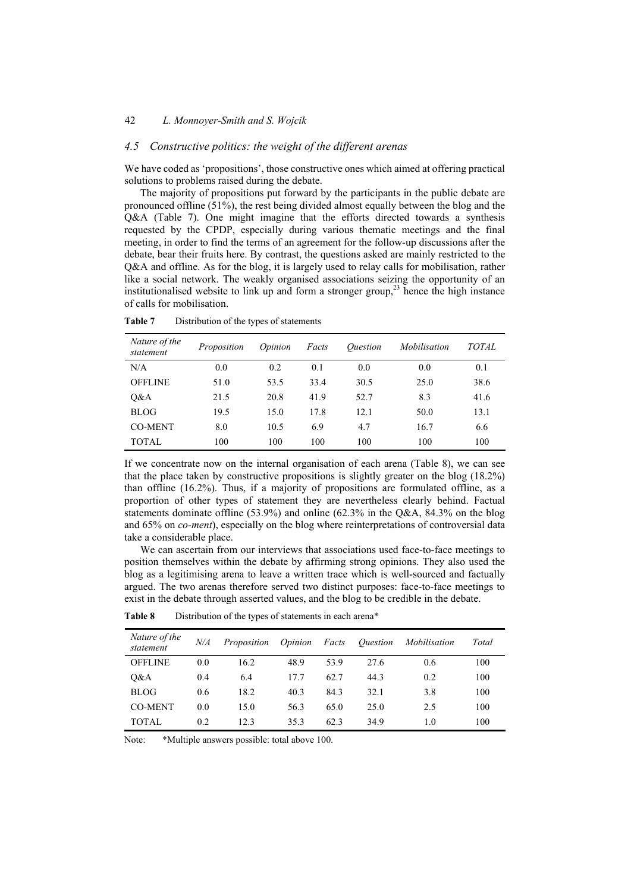## *4.5 Constructive politics: the weight of the different arenas*

We have coded as 'propositions', those constructive ones which aimed at offering practical solutions to problems raised during the debate.

The majority of propositions put forward by the participants in the public debate are pronounced offline (51%), the rest being divided almost equally between the blog and the Q&A (Table 7). One might imagine that the efforts directed towards a synthesis requested by the CPDP, especially during various thematic meetings and the final meeting, in order to find the terms of an agreement for the follow-up discussions after the debate, bear their fruits here. By contrast, the questions asked are mainly restricted to the Q&A and offline. As for the blog, it is largely used to relay calls for mobilisation, rather like a social network. The weakly organised associations seizing the opportunity of an institutionalised website to link up and form a stronger group,<sup>23</sup> hence the high instance of calls for mobilisation.

**Table 7** Distribution of the types of statements

| Nature of the<br>statement | Proposition | Opinion | Facts | <i><u><b>Ouestion</b></u></i> | Mobilisation | <i>TOTAL</i> |
|----------------------------|-------------|---------|-------|-------------------------------|--------------|--------------|
| N/A                        | 0.0         | 0.2     | 0.1   | 0.0                           | 0.0          | 0.1          |
| <b>OFFLINE</b>             | 51.0        | 53.5    | 33.4  | 30.5                          | 25.0         | 38.6         |
| O&A                        | 21.5        | 20.8    | 41.9  | 52.7                          | 8.3          | 41.6         |
| <b>BLOG</b>                | 19.5        | 15.0    | 17.8  | 12.1                          | 50.0         | 13.1         |
| <b>CO-MENT</b>             | 8.0         | 10.5    | 6.9   | 4.7                           | 16.7         | 6.6          |
| TOTAL                      | 100         | 100     | 100   | 100                           | 100          | 100          |

If we concentrate now on the internal organisation of each arena (Table 8), we can see that the place taken by constructive propositions is slightly greater on the blog (18.2%) than offline (16.2%). Thus, if a majority of propositions are formulated offline, as a proportion of other types of statement they are nevertheless clearly behind. Factual statements dominate offline (53.9%) and online (62.3% in the Q&A, 84.3% on the blog and 65% on *co-ment*), especially on the blog where reinterpretations of controversial data take a considerable place.

We can ascertain from our interviews that associations used face-to-face meetings to position themselves within the debate by affirming strong opinions. They also used the blog as a legitimising arena to leave a written trace which is well-sourced and factually argued. The two arenas therefore served two distinct purposes: face-to-face meetings to exist in the debate through asserted values, and the blog to be credible in the debate.

*Nature of the statement N/A Proposition Opinion Facts Question Mobilisation Total*  OFFLINE 0.0 16.2 48.9 53.9 27.6 0.6 100 Q&A 0.4 6.4 17.7 62.7 44.3 0.2 100 BLOG 0.6 18.2 40.3 84.3 32.1 3.8 100 CO-MENT 0.0 15.0 56.3 65.0 25.0 2.5 100 TOTAL 0.2 12.3 35.3 62.3 34.9 1.0 100

**Table 8** Distribution of the types of statements in each arena\*

Note: \*Multiple answers possible: total above 100.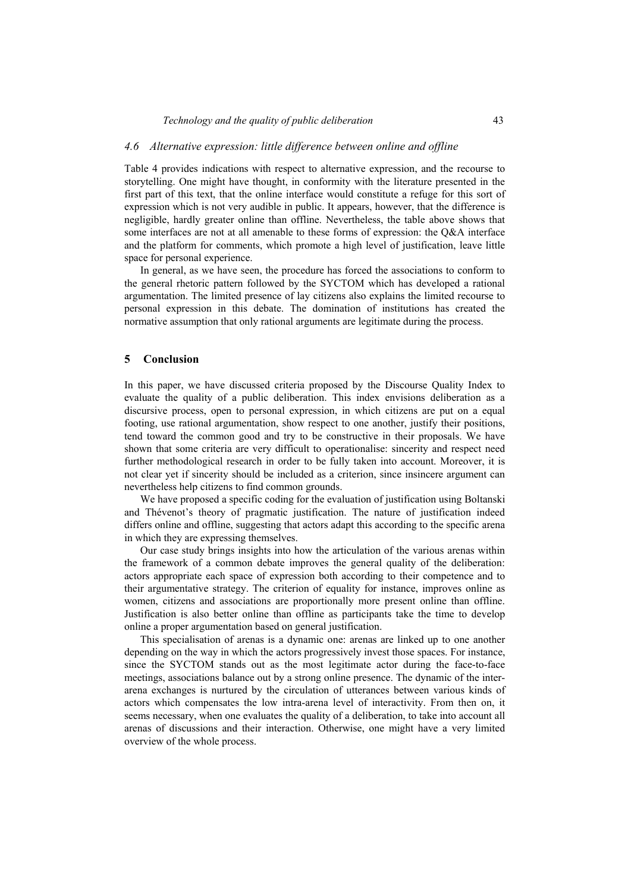## *4.6 Alternative expression: little difference between online and offline*

Table 4 provides indications with respect to alternative expression, and the recourse to storytelling. One might have thought, in conformity with the literature presented in the first part of this text, that the online interface would constitute a refuge for this sort of expression which is not very audible in public. It appears, however, that the difference is negligible, hardly greater online than offline. Nevertheless, the table above shows that some interfaces are not at all amenable to these forms of expression: the Q&A interface and the platform for comments, which promote a high level of justification, leave little space for personal experience.

In general, as we have seen, the procedure has forced the associations to conform to the general rhetoric pattern followed by the SYCTOM which has developed a rational argumentation. The limited presence of lay citizens also explains the limited recourse to personal expression in this debate. The domination of institutions has created the normative assumption that only rational arguments are legitimate during the process.

#### **5 Conclusion**

In this paper, we have discussed criteria proposed by the Discourse Quality Index to evaluate the quality of a public deliberation. This index envisions deliberation as a discursive process, open to personal expression, in which citizens are put on a equal footing, use rational argumentation, show respect to one another, justify their positions, tend toward the common good and try to be constructive in their proposals. We have shown that some criteria are very difficult to operationalise: sincerity and respect need further methodological research in order to be fully taken into account. Moreover, it is not clear yet if sincerity should be included as a criterion, since insincere argument can nevertheless help citizens to find common grounds.

We have proposed a specific coding for the evaluation of justification using Boltanski and Thévenot's theory of pragmatic justification. The nature of justification indeed differs online and offline, suggesting that actors adapt this according to the specific arena in which they are expressing themselves.

Our case study brings insights into how the articulation of the various arenas within the framework of a common debate improves the general quality of the deliberation: actors appropriate each space of expression both according to their competence and to their argumentative strategy. The criterion of equality for instance, improves online as women, citizens and associations are proportionally more present online than offline. Justification is also better online than offline as participants take the time to develop online a proper argumentation based on general justification.

This specialisation of arenas is a dynamic one: arenas are linked up to one another depending on the way in which the actors progressively invest those spaces. For instance, since the SYCTOM stands out as the most legitimate actor during the face-to-face meetings, associations balance out by a strong online presence. The dynamic of the interarena exchanges is nurtured by the circulation of utterances between various kinds of actors which compensates the low intra-arena level of interactivity. From then on, it seems necessary, when one evaluates the quality of a deliberation, to take into account all arenas of discussions and their interaction. Otherwise, one might have a very limited overview of the whole process.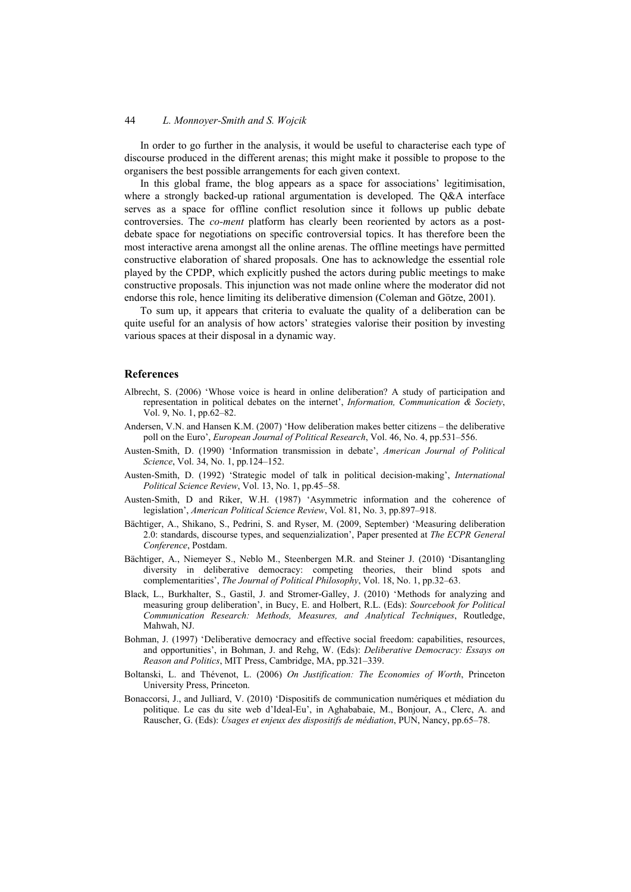In order to go further in the analysis, it would be useful to characterise each type of discourse produced in the different arenas; this might make it possible to propose to the organisers the best possible arrangements for each given context.

In this global frame, the blog appears as a space for associations' legitimisation, where a strongly backed-up rational argumentation is developed. The O&A interface serves as a space for offline conflict resolution since it follows up public debate controversies. The *co-ment* platform has clearly been reoriented by actors as a postdebate space for negotiations on specific controversial topics. It has therefore been the most interactive arena amongst all the online arenas. The offline meetings have permitted constructive elaboration of shared proposals. One has to acknowledge the essential role played by the CPDP, which explicitly pushed the actors during public meetings to make constructive proposals. This injunction was not made online where the moderator did not endorse this role, hence limiting its deliberative dimension (Coleman and Götze, 2001).

To sum up, it appears that criteria to evaluate the quality of a deliberation can be quite useful for an analysis of how actors' strategies valorise their position by investing various spaces at their disposal in a dynamic way.

#### **References**

- Albrecht, S. (2006) 'Whose voice is heard in online deliberation? A study of participation and representation in political debates on the internet', *Information, Communication & Society*, Vol. 9, No. 1, pp.62–82.
- Andersen, V.N. and Hansen K.M. (2007) 'How deliberation makes better citizens the deliberative poll on the Euro', *European Journal of Political Research*, Vol. 46, No. 4, pp.531–556.
- Austen-Smith, D. (1990) 'Information transmission in debate', *American Journal of Political Science*, Vol. 34, No. 1, pp.124–152.
- Austen-Smith, D. (1992) 'Strategic model of talk in political decision-making', *International Political Science Review*, Vol. 13, No. 1, pp.45–58.
- Austen-Smith, D and Riker, W.H. (1987) 'Asymmetric information and the coherence of legislation', *American Political Science Review*, Vol. 81, No. 3, pp.897–918.
- Bächtiger, A., Shikano, S., Pedrini, S. and Ryser, M. (2009, September) 'Measuring deliberation 2.0: standards, discourse types, and sequenzialization', Paper presented at *The ECPR General Conference*, Postdam.
- Bächtiger, A., Niemeyer S., Neblo M., Steenbergen M.R. and Steiner J. (2010) 'Disantangling diversity in deliberative democracy: competing theories, their blind spots and complementarities', *The Journal of Political Philosophy*, Vol. 18, No. 1, pp.32–63.
- Black, L., Burkhalter, S., Gastil, J. and Stromer-Galley, J. (2010) 'Methods for analyzing and measuring group deliberation', in Bucy, E. and Holbert, R.L. (Eds): *Sourcebook for Political Communication Research: Methods, Measures, and Analytical Techniques*, Routledge, Mahwah, NJ.
- Bohman, J. (1997) 'Deliberative democracy and effective social freedom: capabilities, resources, and opportunities', in Bohman, J. and Rehg, W. (Eds): *Deliberative Democracy: Essays on Reason and Politics*, MIT Press, Cambridge, MA, pp.321–339.
- Boltanski, L. and Thévenot, L. (2006) *On Justification: The Economies of Worth*, Princeton University Press, Princeton.
- Bonaccorsi, J., and Julliard, V. (2010) 'Dispositifs de communication numériques et médiation du politique. Le cas du site web d'Ideal-Eu', in Aghababaie, M., Bonjour, A., Clerc, A. and Rauscher, G. (Eds): *Usages et enjeux des dispositifs de médiation*, PUN, Nancy, pp.65–78.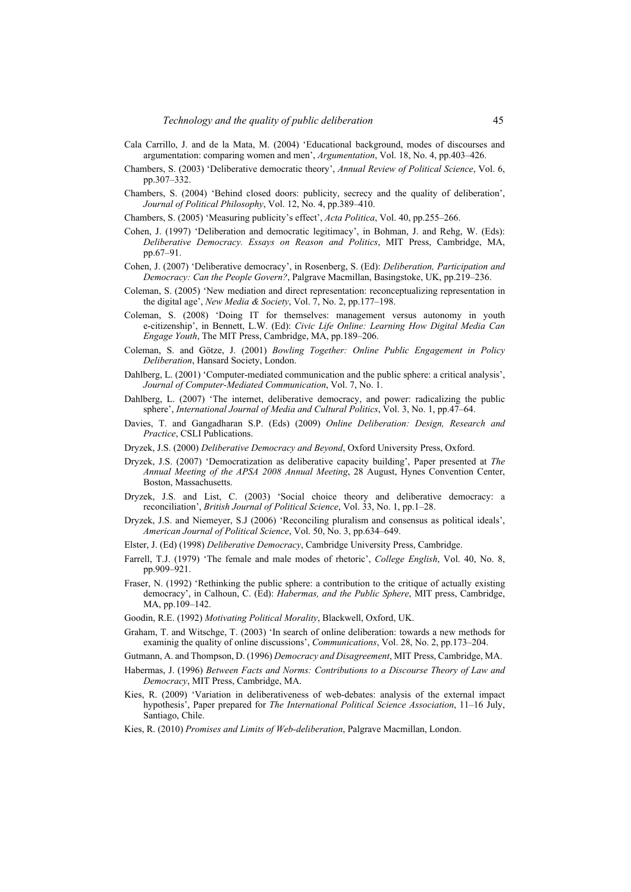- Cala Carrillo, J. and de la Mata, M. (2004) 'Educational background, modes of discourses and argumentation: comparing women and men', *Argumentation*, Vol. 18, No. 4, pp.403–426.
- Chambers, S. (2003) 'Deliberative democratic theory', *Annual Review of Political Science*, Vol. 6, pp.307–332.
- Chambers, S. (2004) 'Behind closed doors: publicity, secrecy and the quality of deliberation', *Journal of Political Philosophy*, Vol. 12, No. 4, pp.389–410.
- Chambers, S. (2005) 'Measuring publicity's effect', *Acta Politica*, Vol. 40, pp.255–266.
- Cohen, J. (1997) 'Deliberation and democratic legitimacy', in Bohman, J. and Rehg, W. (Eds): *Deliberative Democracy. Essays on Reason and Politics*, MIT Press, Cambridge, MA, pp.67–91.
- Cohen, J. (2007) 'Deliberative democracy', in Rosenberg, S. (Ed): *Deliberation, Participation and Democracy: Can the People Govern?*, Palgrave Macmillan, Basingstoke, UK, pp.219–236.
- Coleman, S. (2005) 'New mediation and direct representation: reconceptualizing representation in the digital age', *New Media & Society*, Vol. 7, No. 2, pp.177–198.
- Coleman, S. (2008) 'Doing IT for themselves: management versus autonomy in youth e-citizenship', in Bennett, L.W. (Ed): *Civic Life Online: Learning How Digital Media Can Engage Youth*, The MIT Press, Cambridge, MA, pp.189–206.
- Coleman, S. and Götze, J. (2001) *Bowling Together: Online Public Engagement in Policy Deliberation*, Hansard Society, London.
- Dahlberg, L. (2001) 'Computer-mediated communication and the public sphere: a critical analysis', *Journal of Computer-Mediated Communication*, Vol. 7, No. 1.
- Dahlberg, L. (2007) 'The internet, deliberative democracy, and power: radicalizing the public sphere', *International Journal of Media and Cultural Politics*, Vol. 3, No. 1, pp.47–64.
- Davies, T. and Gangadharan S.P. (Eds) (2009) *Online Deliberation: Design, Research and Practice*, CSLI Publications.
- Dryzek, J.S. (2000) *Deliberative Democracy and Beyond*, Oxford University Press, Oxford.
- Dryzek, J.S. (2007) 'Democratization as deliberative capacity building', Paper presented at *The Annual Meeting of the APSA 2008 Annual Meeting*, 28 August, Hynes Convention Center, Boston, Massachusetts.
- Dryzek, J.S. and List, C. (2003) 'Social choice theory and deliberative democracy: a reconciliation', *British Journal of Political Science*, Vol. 33, No. 1, pp.1–28.
- Dryzek, J.S. and Niemeyer, S.J (2006) 'Reconciling pluralism and consensus as political ideals', *American Journal of Political Science*, Vol. 50, No. 3, pp.634–649.
- Elster, J. (Ed) (1998) *Deliberative Democracy*, Cambridge University Press, Cambridge.
- Farrell, T.J. (1979) 'The female and male modes of rhetoric', *College English*, Vol. 40, No. 8, pp.909–921.
- Fraser, N. (1992) 'Rethinking the public sphere: a contribution to the critique of actually existing democracy', in Calhoun, C. (Ed): *Habermas, and the Public Sphere*, MIT press, Cambridge, MA, pp.109–142.
- Goodin, R.E. (1992) *Motivating Political Morality*, Blackwell, Oxford, UK.
- Graham, T. and Witschge, T. (2003) 'In search of online deliberation: towards a new methods for examinig the quality of online discussions', *Communications*, Vol. 28, No. 2, pp.173–204.
- Gutmann, A. and Thompson, D. (1996) *Democracy and Disagreement*, MIT Press, Cambridge, MA.
- Habermas, J. (1996) *Between Facts and Norms: Contributions to a Discourse Theory of Law and Democracy*, MIT Press, Cambridge, MA.
- Kies, R. (2009) 'Variation in deliberativeness of web-debates: analysis of the external impact hypothesis', Paper prepared for *The International Political Science Association*, 11–16 July, Santiago, Chile.
- Kies, R. (2010) *Promises and Limits of Web-deliberation*, Palgrave Macmillan, London.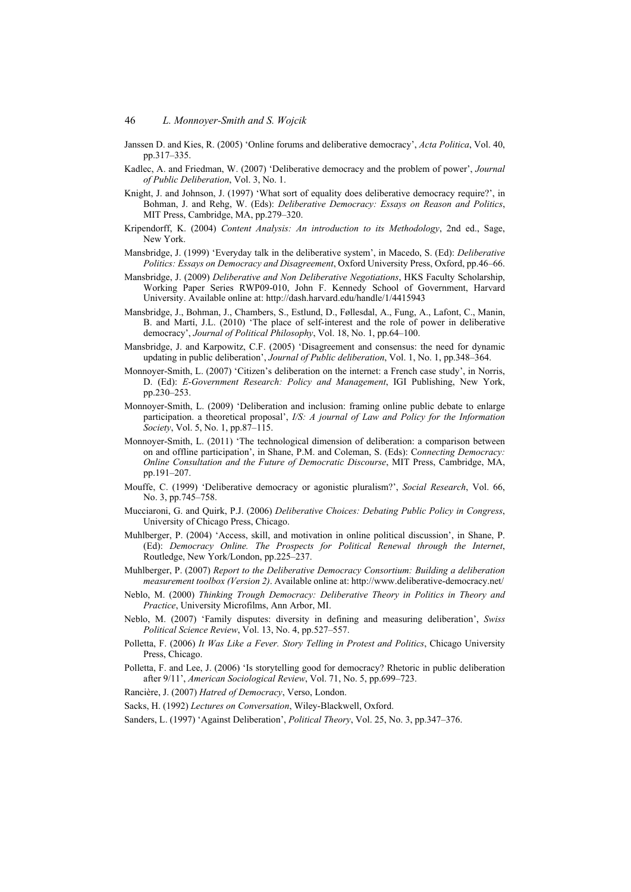- Janssen D. and Kies, R. (2005) 'Online forums and deliberative democracy', *Acta Politica*, Vol. 40, pp.317–335.
- Kadlec, A. and Friedman, W. (2007) 'Deliberative democracy and the problem of power', *Journal of Public Deliberation*, Vol. 3, No. 1.
- Knight, J. and Johnson, J. (1997) 'What sort of equality does deliberative democracy require?', in Bohman, J. and Rehg, W. (Eds): *Deliberative Democracy: Essays on Reason and Politics*, MIT Press, Cambridge, MA, pp.279–320.
- Kripendorff, K. (2004) *Content Analysis: An introduction to its Methodology*, 2nd ed., Sage, New York.
- Mansbridge, J. (1999) 'Everyday talk in the deliberative system', in Macedo, S. (Ed): *Deliberative Politics: Essays on Democracy and Disagreement*, Oxford University Press, Oxford, pp.46–66.
- Mansbridge, J. (2009) *Deliberative and Non Deliberative Negotiations*, HKS Faculty Scholarship, Working Paper Series RWP09-010, John F. Kennedy School of Government, Harvard University. Available online at: http://dash.harvard.edu/handle/1/4415943
- Mansbridge, J., Bohman, J., Chambers, S., Estlund, D., Føllesdal, A., Fung, A., Lafont, C., Manin, B. and Martí, J.L. (2010) 'The place of self-interest and the role of power in deliberative democracy', *Journal of Political Philosophy*, Vol. 18, No. 1, pp.64–100.
- Mansbridge, J. and Karpowitz, C.F. (2005) 'Disagreement and consensus: the need for dynamic updating in public deliberation', *Journal of Public deliberation*, Vol. 1, No. 1, pp.348–364.
- Monnoyer-Smith, L. (2007) 'Citizen's deliberation on the internet: a French case study', in Norris, D. (Ed): *E-Government Research: Policy and Management*, IGI Publishing, New York, pp.230–253.
- Monnoyer-Smith, L. (2009) 'Deliberation and inclusion: framing online public debate to enlarge participation. a theoretical proposal', *I/S: A journal of Law and Policy for the Information Society*, Vol. 5, No. 1, pp.87–115.
- Monnoyer-Smith, L. (2011) 'The technological dimension of deliberation: a comparison between on and offline participation', in Shane, P.M. and Coleman, S. (Eds): C*onnecting Democracy: Online Consultation and the Future of Democratic Discourse*, MIT Press, Cambridge, MA, pp.191–207.
- Mouffe, C. (1999) 'Deliberative democracy or agonistic pluralism?', *Social Research*, Vol. 66, No. 3, pp.745–758.
- Mucciaroni, G. and Quirk, P.J. (2006) *Deliberative Choices: Debating Public Policy in Congress*, University of Chicago Press, Chicago.
- Muhlberger, P. (2004) 'Access, skill, and motivation in online political discussion', in Shane, P. (Ed): *Democracy Online. The Prospects for Political Renewal through the Internet*, Routledge, New York/London, pp.225–237.
- Muhlberger, P. (2007) *Report to the Deliberative Democracy Consortium: Building a deliberation measurement toolbox (Version 2)*. Available online at: http://www.deliberative-democracy.net/
- Neblo, M. (2000) *Thinking Trough Democracy: Deliberative Theory in Politics in Theory and Practice*, University Microfilms, Ann Arbor, MI.
- Neblo, M. (2007) 'Family disputes: diversity in defining and measuring deliberation', *Swiss Political Science Review*, Vol. 13, No. 4, pp.527–557.
- Polletta, F. (2006) *It Was Like a Fever. Story Telling in Protest and Politics*, Chicago University Press, Chicago.
- Polletta, F. and Lee, J. (2006) 'Is storytelling good for democracy? Rhetoric in public deliberation after 9/11', *American Sociological Review*, Vol. 71, No. 5, pp.699–723.
- Rancière, J. (2007) *Hatred of Democracy*, Verso, London.
- Sacks, H. (1992) *Lectures on Conversation*, Wiley-Blackwell, Oxford.

Sanders, L. (1997) 'Against Deliberation', *Political Theory*, Vol. 25, No. 3, pp.347–376.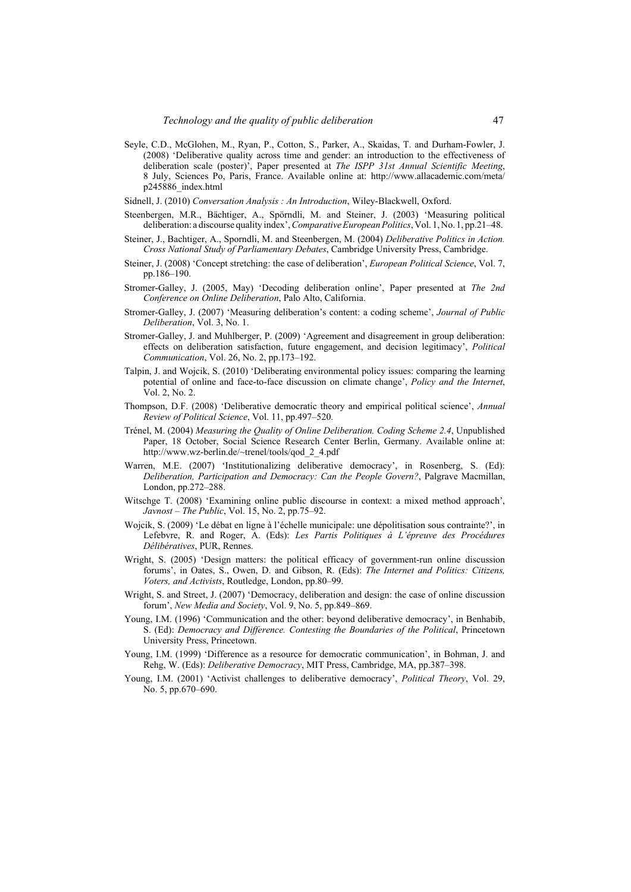- Seyle, C.D., McGlohen, M., Ryan, P., Cotton, S., Parker, A., Skaidas, T. and Durham-Fowler, J. (2008) 'Deliberative quality across time and gender: an introduction to the effectiveness of deliberation scale (poster)', Paper presented at *The ISPP 31st Annual Scientific Meeting*, 8 July, Sciences Po, Paris, France. Available online at: http://www.allacademic.com/meta/ p245886\_index.html
- Sidnell, J. (2010) *Conversation Analysis : An Introduction*, Wiley-Blackwell, Oxford.
- Steenbergen, M.R., Bächtiger, A., Spörndli, M. and Steiner, J. (2003) 'Measuring political deliberation: a discourse quality index', Comparative European Politics, Vol. 1, No. 1, pp.21-48.
- Steiner, J., Bachtiger, A., Sporndli, M. and Steenbergen, M. (2004) *Deliberative Politics in Action. Cross National Study of Parliamentary Debates*, Cambridge University Press, Cambridge.
- Steiner, J. (2008) 'Concept stretching: the case of deliberation', *European Political Science*, Vol. 7, pp.186–190.
- Stromer-Galley, J. (2005, May) 'Decoding deliberation online', Paper presented at *The 2nd Conference on Online Deliberation*, Palo Alto, California.
- Stromer-Galley, J. (2007) 'Measuring deliberation's content: a coding scheme', *Journal of Public Deliberation*, Vol. 3, No. 1.
- Stromer-Galley, J. and Muhlberger, P. (2009) 'Agreement and disagreement in group deliberation: effects on deliberation satisfaction, future engagement, and decision legitimacy', *Political Communication*, Vol. 26, No. 2, pp.173–192.
- Talpin, J. and Wojcik, S. (2010) 'Deliberating environmental policy issues: comparing the learning potential of online and face-to-face discussion on climate change', *Policy and the Internet*, Vol. 2, No. 2.
- Thompson, D.F. (2008) 'Deliberative democratic theory and empirical political science', *Annual Review of Political Science*, Vol. 11, pp.497–520.
- Trénel, M. (2004) *Measuring the Quality of Online Deliberation. Coding Scheme 2.4*, Unpublished Paper, 18 October, Social Science Research Center Berlin, Germany. Available online at: http://www.wz-berlin.de/~trenel/tools/qod\_2\_4.pdf
- Warren, M.E. (2007) 'Institutionalizing deliberative democracy', in Rosenberg, S. (Ed): *Deliberation, Participation and Democracy: Can the People Govern?*, Palgrave Macmillan, London, pp.272–288.
- Witschge T. (2008) 'Examining online public discourse in context: a mixed method approach', *Javnost – The Public*, Vol. 15, No. 2, pp.75–92.
- Wojcik, S. (2009) 'Le débat en ligne à l'échelle municipale: une dépolitisation sous contrainte?', in Lefebvre, R. and Roger, A. (Eds): *Les Partis Politiques à L'épreuve des Procédures Délibératives*, PUR, Rennes.
- Wright, S. (2005) 'Design matters: the political efficacy of government-run online discussion forums', in Oates, S., Owen, D. and Gibson, R. (Eds): *The Internet and Politics: Citizens, Voters, and Activists*, Routledge, London, pp.80–99.
- Wright, S. and Street, J. (2007) 'Democracy, deliberation and design: the case of online discussion forum', *New Media and Society*, Vol. 9, No. 5, pp.849–869.
- Young, I.M. (1996) 'Communication and the other: beyond deliberative democracy', in Benhabib, S. (Ed): *Democracy and Difference. Contesting the Boundaries of the Political*, Princetown University Press, Princetown.
- Young, I.M. (1999) 'Difference as a resource for democratic communication', in Bohman, J. and Rehg, W. (Eds): *Deliberative Democracy*, MIT Press, Cambridge, MA, pp.387–398.
- Young, I.M. (2001) 'Activist challenges to deliberative democracy', *Political Theory*, Vol. 29, No. 5, pp.670–690.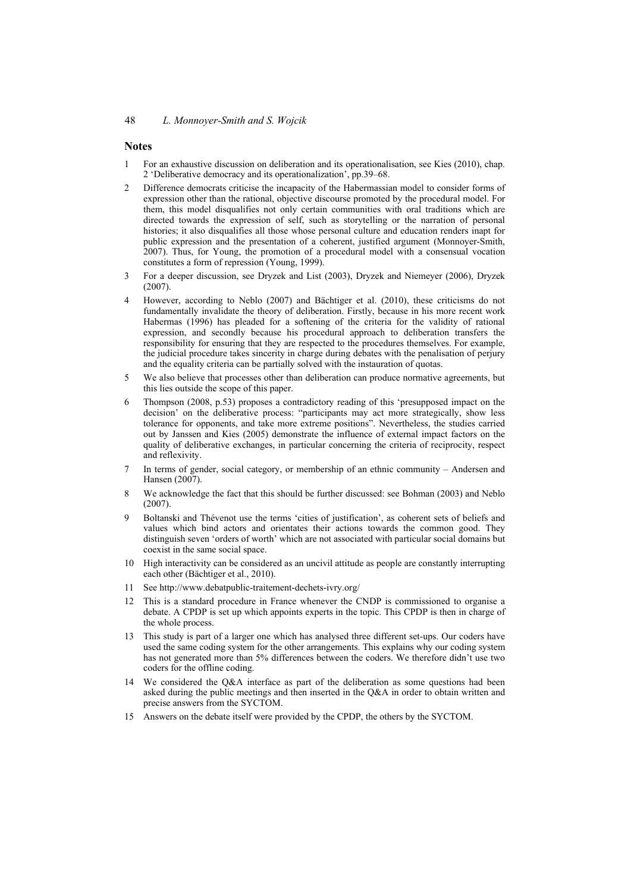## **Notes**

- 1 For an exhaustive discussion on deliberation and its operationalisation, see Kies (2010), chap. 2 'Deliberative democracy and its operationalization', pp.39–68.
- 2 Difference democrats criticise the incapacity of the Habermassian model to consider forms of expression other than the rational, objective discourse promoted by the procedural model. For them, this model disqualifies not only certain communities with oral traditions which are directed towards the expression of self, such as storytelling or the narration of personal histories; it also disqualifies all those whose personal culture and education renders inapt for public expression and the presentation of a coherent, justified argument (Monnoyer-Smith, 2007). Thus, for Young, the promotion of a procedural model with a consensual vocation constitutes a form of repression (Young, 1999).
- 3 For a deeper discussion, see Dryzek and List (2003), Dryzek and Niemeyer (2006), Dryzek (2007).
- 4 However, according to Neblo (2007) and Bächtiger et al. (2010), these criticisms do not fundamentally invalidate the theory of deliberation. Firstly, because in his more recent work Habermas (1996) has pleaded for a softening of the criteria for the validity of rational expression, and secondly because his procedural approach to deliberation transfers the responsibility for ensuring that they are respected to the procedures themselves. For example, the judicial procedure takes sincerity in charge during debates with the penalisation of perjury and the equality criteria can be partially solved with the instauration of quotas.
- 5 We also believe that processes other than deliberation can produce normative agreements, but this lies outside the scope of this paper.
- 6 Thompson (2008, p.53) proposes a contradictory reading of this 'presupposed impact on the decision' on the deliberative process: "participants may act more strategically, show less tolerance for opponents, and take more extreme positions". Nevertheless, the studies carried out by Janssen and Kies (2005) demonstrate the influence of external impact factors on the quality of deliberative exchanges, in particular concerning the criteria of reciprocity, respect and reflexivity.
- 7 In terms of gender, social category, or membership of an ethnic community Andersen and Hansen (2007).
- 8 We acknowledge the fact that this should be further discussed: see Bohman (2003) and Neblo (2007).
- 9 Boltanski and Thévenot use the terms 'cities of justification', as coherent sets of beliefs and values which bind actors and orientates their actions towards the common good. They distinguish seven 'orders of worth' which are not associated with particular social domains but coexist in the same social space.
- 10 High interactivity can be considered as an uncivil attitude as people are constantly interrupting each other (Bächtiger et al., 2010).
- 11 See http://www.debatpublic-traitement-dechets-ivry.org/
- 12 This is a standard procedure in France whenever the CNDP is commissioned to organise a debate. A CPDP is set up which appoints experts in the topic. This CPDP is then in charge of the whole process.
- 13 This study is part of a larger one which has analysed three different set-ups. Our coders have used the same coding system for the other arrangements. This explains why our coding system has not generated more than 5% differences between the coders. We therefore didn't use two coders for the offline coding.
- 14 We considered the Q&A interface as part of the deliberation as some questions had been asked during the public meetings and then inserted in the Q&A in order to obtain written and precise answers from the SYCTOM.
- 15 Answers on the debate itself were provided by the CPDP, the others by the SYCTOM.